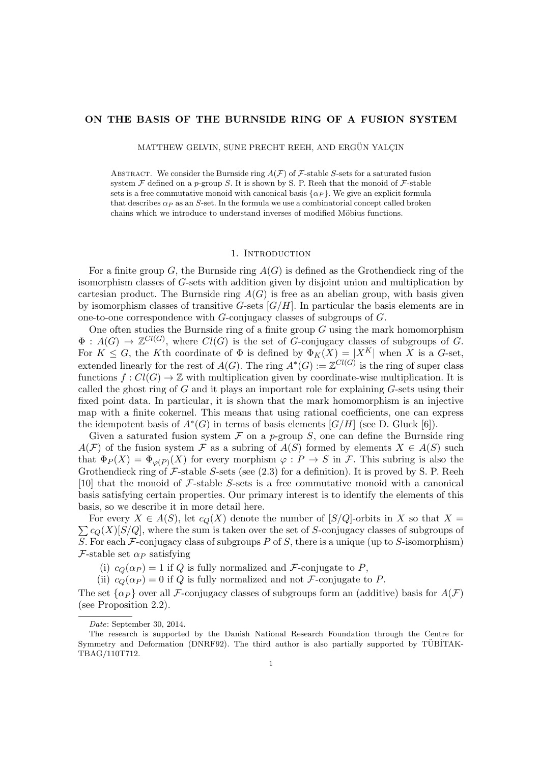# ON THE BASIS OF THE BURNSIDE RING OF A FUSION SYSTEM

MATTHEW GELVIN, SUNE PRECHT REEH, AND ERGÜN YALCIN

ABSTRACT. We consider the Burnside ring  $A(F)$  of  $F$ -stable *S*-sets for a saturated fusion system  $\mathcal F$  defined on a *p*-group *S*. It is shown by S. P. Reeh that the monoid of  $\mathcal F$ -stable sets is a free commutative monoid with canonical basis  $\{\alpha_P\}$ . We give an explicit formula that describes  $\alpha_P$  as an *S*-set. In the formula we use a combinatorial concept called broken chains which we introduce to understand inverses of modified Möbius functions.

# 1. INTRODUCTION

For a finite group  $G$ , the Burnside ring  $A(G)$  is defined as the Grothendieck ring of the isomorphism classes of *G*-sets with addition given by disjoint union and multiplication by cartesian product. The Burnside ring  $A(G)$  is free as an abelian group, with basis given by isomorphism classes of transitive *G*-sets [*G/H*]. In particular the basis elements are in one-to-one correspondence with *G*-conjugacy classes of subgroups of *G*.

One often studies the Burnside ring of a finite group *G* using the mark homomorphism  $\Phi: A(G) \to \mathbb{Z}^{Cl(G)}$ , where  $Cl(G)$  is the set of *G*-conjugacy classes of subgroups of *G*. For  $K \leq G$ , the *K*<sup>th</sup> coordinate of  $\Phi$  is defined by  $\Phi_K(X) = |X^K|$  when X<sup>i</sup> is a *G*-set, extended linearly for the rest of  $A(G)$ . The ring  $A^*(G) := \mathbb{Z}^{Cl(G)}$  is the ring of super class functions  $f: Cl(G) \to \mathbb{Z}$  with multiplication given by coordinate-wise multiplication. It is called the ghost ring of *G* and it plays an important role for explaining *G*-sets using their fixed point data. In particular, it is shown that the mark homomorphism is an injective map with a finite cokernel. This means that using rational coefficients, one can express the idempotent basis of  $A^*(G)$  in terms of basis elements  $[G/H]$  (see D. Gluck [\[6\]](#page-24-0)).

Given a saturated fusion system  $\mathcal F$  on a *p*-group  $S$ , one can define the Burnside ring  $A(F)$  of the fusion system F as a subring of  $A(S)$  formed by elements  $X \in A(S)$  such that  $\Phi_P(X) = \Phi_{\varphi(P)}(X)$  for every morphism  $\varphi : P \to S$  in *F*. This subring is also the Grothendieck ring of *F*-stable *S*-sets (see [\(2.3\)](#page-4-0) for a definition). It is proved by S. P. Reeh [\[10\]](#page-24-1) that the monoid of *F*-stable *S*-sets is a free commutative monoid with a canonical basis satisfying certain properties. Our primary interest is to identify the elements of this basis, so we describe it in more detail here.

 $\sum c_Q(X)[S/Q]$ , where the sum is taken over the set of *S*-conjugacy classes of subgroups of For every  $X \in A(S)$ , let  $c_Q(X)$  denote the number of  $[S/Q]$ -orbits in X so that  $X =$ *S*. For each *F*-conjugacy class of subgroups *P* of *S*, there is a unique (up to *S*-isomorphism) *F*-stable set  $\alpha_P$  satisfying

(i)  $c_Q(\alpha_P) = 1$  if Q is fully normalized and *F*-conjugate to *P*,

(ii)  $c_Q(\alpha_P) = 0$  if *Q* is fully normalized and not *F*-conjugate to *P*.

The set  $\{\alpha_P\}$  over all *F*-conjugacy classes of subgroups form an (additive) basis for  $A(F)$ (see Proposition [2.2\)](#page-4-1).

*Date*: September 30, 2014.

The research is supported by the Danish National Research Foundation through the Centre for Symmetry and Deformation (DNRF92). The third author is also partially supported by TÜBİTAK-TBAG/110T712.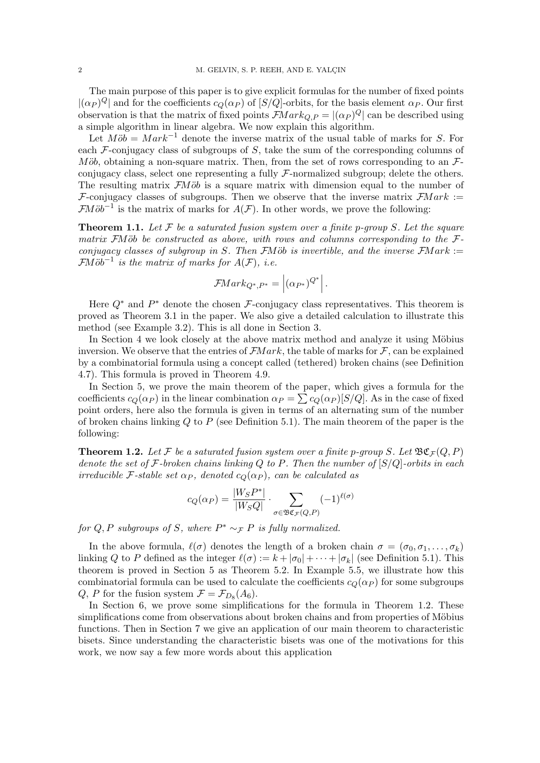The main purpose of this paper is to give explicit formulas for the number of fixed points  $|(\alpha_P)^Q|$  and for the coefficients  $c_Q(\alpha_P)$  of  $|S/Q|$ -orbits, for the basis element  $\alpha_P$ . Our first observation is that the matrix of fixed points  $\mathcal{F}Mark_{Q,P} = |(\alpha_P)^Q|$  can be described using a simple algorithm in linear algebra. We now explain this algorithm.

Let  $M\ddot{\phi} = Mark^{-1}$  denote the inverse matrix of the usual table of marks for *S*. For each *F*-conjugacy class of subgroups of *S*, take the sum of the corresponding columns of *M* $\ddot{\phi}$ *b*, obtaining a non-square matrix. Then, from the set of rows corresponding to an  $\ddot{\mathcal{F}}$ conjugacy class, select one representing a fully *F*-normalized subgroup; delete the others. The resulting matrix *FMob* is a square matrix with dimension equal to the number of *F*-conjugacy classes of subgroups. Then we observe that the inverse matrix *FM ark* := *FM* $\ddot{\theta}b^{-1}$  is the matrix of marks for  $A(F)$ . In other words, we prove the following:

Theorem 1.1. *Let F be a saturated fusion system over a finite p-group S. Let the square matrix*  $\overline{F}M\ddot{o}b$  *be constructed as above, with rows and columns corresponding to the*  $\overline{F}$ *conjugacy classes of subgroup in S. Then*  $\overline{\text{FM}}$ *ob is invertible, and the inverse*  $\overline{\text{FM}}$ *ark* := *FM* $\ddot{\theta}b^{-1}$  *is the matrix of marks for*  $A(F)$ *, i.e.* 

$$
\mathcal{F}Mark_{Q^*,P^*} = |(\alpha_{P^*})^{Q^*}|.
$$

Here  $Q^*$  and  $P^*$  denote the chosen *F*-conjugacy class representatives. This theorem is proved as Theorem [3.1](#page-5-0) in the paper. We also give a detailed calculation to illustrate this method (see Example [3.2\)](#page-6-0). This is all done in Section [3.](#page-4-2)

In Section [4](#page-8-0) we look closely at the above matrix method and analyze it using Möbius inversion. We observe that the entries of  $\mathcal{F}Mark$ , the table of marks for  $\mathcal{F}$ , can be explained by a combinatorial formula using a concept called (tethered) broken chains (see Definition [4.7\)](#page-11-0). This formula is proved in Theorem [4.9.](#page-12-0)

In Section [5,](#page-14-0) we prove the main theorem of the paper, which gives a formula for the coefficients  $c_Q(\alpha_P)$  in the linear combination  $\alpha_P = \sum c_Q(\alpha_P)[S/Q]$ . As in the case of fixed point orders, here also the formula is given in terms of an alternating sum of the number of broken chains linking *Q* to *P* (see Definition [5.1\)](#page-15-0). The main theorem of the paper is the following:

<span id="page-1-0"></span>**Theorem 1.2.** Let F be a saturated fusion system over a finite p-group S. Let  $\mathfrak{BC}_F(Q, P)$ *denote the set of F-broken chains linking Q to P. Then the number of* [*S/Q*]*-orbits in each irreducible*  $\mathcal{F}\text{-stable set } \alpha_P$ , denoted  $c_Q(\alpha_P)$ , can be calculated as

$$
c_Q(\alpha_P) = \frac{|W_S P^*|}{|W_S Q|} \cdot \sum_{\sigma \in \mathfrak{BC}_F(Q, P)} (-1)^{\ell(\sigma)}
$$

*for*  $Q, P$  *subgroups of*  $S$ *, where*  $P^* \sim_{\mathcal{F}} P$  *is fully normalized.* 

In the above formula,  $\ell(\sigma)$  denotes the length of a broken chain  $\sigma = (\sigma_0, \sigma_1, \ldots, \sigma_k)$ linking *Q* to *P* defined as the integer  $\ell(\sigma) := k + |\sigma_0| + \cdots + |\sigma_k|$  (see Definition [5.1\)](#page-15-0). This theorem is proved in Section [5](#page-14-0) as Theorem [5.2.](#page-15-1) In Example [5.5,](#page-16-0) we illustrate how this combinatorial formula can be used to calculate the coefficients  $c_Q(\alpha_P)$  for some subgroups *Q*, *P* for the fusion system  $\mathcal{F} = \mathcal{F}_{D_8}(A_6)$ .

In Section [6,](#page-17-0) we prove some simplifications for the formula in Theorem [1.2.](#page-1-0) These simplifications come from observations about broken chains and from properties of Möbius functions. Then in Section [7](#page-20-0) we give an application of our main theorem to characteristic bisets. Since understanding the characteristic bisets was one of the motivations for this work, we now say a few more words about this application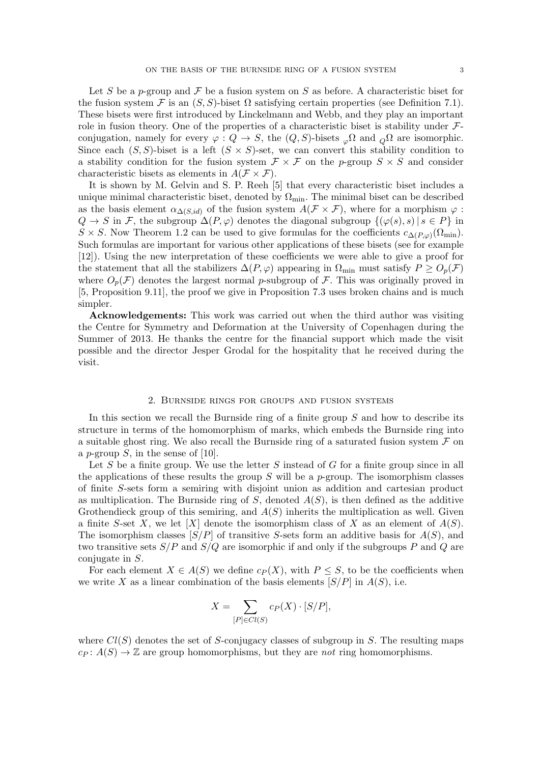Let *S* be a *p*-group and *F* be a fusion system on *S* as before. A characteristic biset for the fusion system  $\mathcal F$  is an  $(S, S)$ -biset  $\Omega$  satisfying certain properties (see Definition [7.1\)](#page-20-1). These bisets were first introduced by Linckelmann and Webb, and they play an important role in fusion theory. One of the properties of a characteristic biset is stability under *F*conjugation, namely for every  $\varphi : Q \to S$ , the  $(Q, S)$ -bisets  $\varphi^{\Omega}$  and  $\varphi^{\Omega}$  are isomorphic. Since each  $(S, S)$ -biset is a left  $(S \times S)$ -set, we can convert this stability condition to a stability condition for the fusion system  $\mathcal{F} \times \mathcal{F}$  on the *p*-group  $S \times S$  and consider characteristic bisets as elements in  $A(F \times F)$ .

It is shown by M. Gelvin and S. P. Reeh [\[5\]](#page-24-2) that every characteristic biset includes a unique minimal characteristic biset, denoted by  $\Omega_{\text{min}}$ . The minimal biset can be described as the basis element  $\alpha_{\Delta(S,id)}$  of the fusion system  $A(\mathcal{F} \times \mathcal{F})$ , where for a morphism  $\varphi$ :  $Q \rightarrow S$  in *F*, the subgroup  $\Delta(P, \varphi)$  denotes the diagonal subgroup  $\{(\varphi(s), s) | s \in P\}$  in  $S \times S$ . Now Theorem [1.2](#page-1-0) can be used to give formulas for the coefficients  $c_{\Lambda(P,\varphi)}(\Omega_{\text{min}})$ . Such formulas are important for various other applications of these bisets (see for example [\[12\]](#page-24-3)). Using the new interpretation of these coefficients we were able to give a proof for the statement that all the stabilizers  $\Delta(P, \varphi)$  appearing in  $\Omega_{\text{min}}$  must satisfy  $P \geq O_p(\mathcal{F})$ where  $O_p(\mathcal{F})$  denotes the largest normal *p*-subgroup of  $\mathcal{F}$ . This was originally proved in [\[5,](#page-24-2) Proposition 9.11], the proof we give in Proposition [7.3](#page-21-0) uses broken chains and is much simpler.

Acknowledgements: This work was carried out when the third author was visiting the Centre for Symmetry and Deformation at the University of Copenhagen during the Summer of 2013. He thanks the centre for the financial support which made the visit possible and the director Jesper Grodal for the hospitality that he received during the visit.

# 2. Burnside rings for groups and fusion systems

In this section we recall the Burnside ring of a finite group *S* and how to describe its structure in terms of the homomorphism of marks, which embeds the Burnside ring into a suitable ghost ring. We also recall the Burnside ring of a saturated fusion system *F* on a *p*-group *S*, in the sense of [\[10\]](#page-24-1).

Let *S* be a finite group. We use the letter *S* instead of *G* for a finite group since in all the applications of these results the group *S* will be a *p*-group. The isomorphism classes of finite *S*-sets form a semiring with disjoint union as addition and cartesian product as multiplication. The Burnside ring of  $S$ , denoted  $A(S)$ , is then defined as the additive Grothendieck group of this semiring, and  $A(S)$  inherits the multiplication as well. Given a finite *S*-set *X*, we let [*X*] denote the isomorphism class of *X* as an element of  $A(S)$ . The isomorphism classes [*S/P*] of transitive *S*-sets form an additive basis for *A*(*S*), and two transitive sets *S/P* and *S/Q* are isomorphic if and only if the subgroups *P* and *Q* are conjugate in *S*.

For each element  $X \in A(S)$  we define  $c_P(X)$ , with  $P \leq S$ , to be the coefficients when we write *X* as a linear combination of the basis elements  $[S/P]$  in  $A(S)$ , i.e.

$$
X = \sum_{[P] \in Cl(S)} c_P(X) \cdot [S/P],
$$

where  $Cl(S)$  denotes the set of *S*-conjugacy classes of subgroup in *S*. The resulting maps  $c_P: A(S) \to \mathbb{Z}$  are group homomorphisms, but they are *not* ring homomorphisms.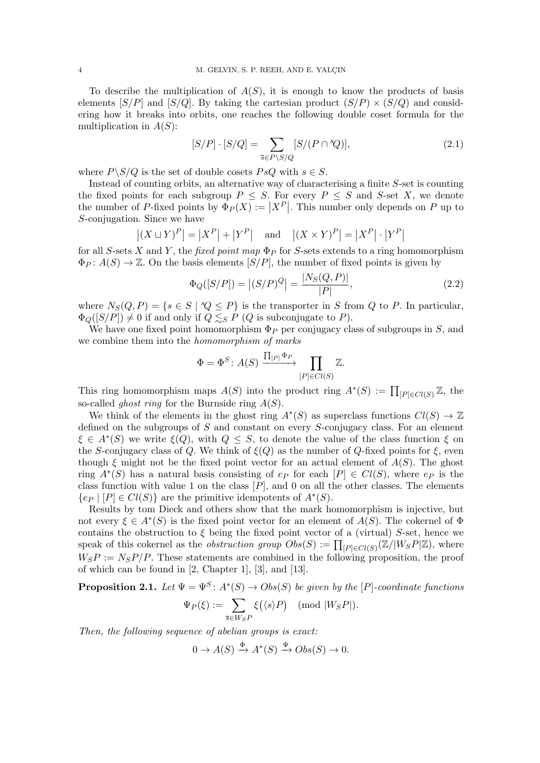To describe the multiplication of  $A(S)$ , it is enough to know the products of basis elements  $[S/P]$  and  $[S/Q]$ . By taking the cartesian product  $(S/P) \times (S/Q)$  and considering how it breaks into orbits, one reaches the following double coset formula for the multiplication in *A*(*S*):

$$
[S/P] \cdot [S/Q] = \sum_{\overline{s} \in P \backslash S/Q} [S/(P \cap {}^s Q)],\tag{2.1}
$$

where  $P \setminus S/Q$  is the set of double cosets  $PsQ$  with  $s \in S$ .

Instead of counting orbits, an alternative way of characterising a finite *S*-set is counting the fixed points for each subgroup  $P \leq S$ . For every  $P \leq S$  and *S*-set *X*, we denote the number of *P*-fixed points by  $\Phi_P(X) := |X^P|$ . This number only depends on *P* up to *S*-conjugation. Since we have

$$
|(X \sqcup Y)^P| = |X^P| + |Y^P| \quad \text{and} \quad |(X \times Y)^P| = |X^P| \cdot |Y^P|
$$

for all *S*-sets *X* and *Y*, the *fixed point map*  $\Phi_P$  for *S*-sets extends to a ring homomorphism  $\Phi_P: A(S) \to \mathbb{Z}$ . On the basis elements  $[S/P]$ , the number of fixed points is given by

$$
\Phi_Q([S/P]) = |(S/P)^Q| = \frac{|N_S(Q, P)|}{|P|},\tag{2.2}
$$

where  $N_S(Q, P) = \{s \in S \mid {}^s Q \leq P\}$  is the transporter in *S* from *Q* to *P*. In particular,  $\Phi_{Q}([S/P]) \neq 0$  if and only if  $Q \leq_{S} P(Q)$  is subconjugate to *P*).

We have one fixed point homomorphism  $\Phi_P$  per conjugacy class of subgroups in *S*, and we combine them into the *homomorphism of marks*

$$
\Phi = \Phi^S \colon A(S) \xrightarrow{\prod_{[P]} \Phi_P} \prod_{[P] \in Cl(S)} \mathbb{Z}.
$$

This ring homomorphism maps  $A(S)$  into the product ring  $A^*(S) := \prod_{[P] \in Cl(S)} \mathbb{Z}$ , the so-called *ghost ring* for the Burnside ring *A*(*S*).

We think of the elements in the ghost ring  $A^*(S)$  as superclass functions  $Cl(S) \to \mathbb{Z}$ defined on the subgroups of *S* and constant on every *S*-conjugacy class. For an element  $\xi \in A^*(S)$  we write  $\xi(Q)$ , with  $Q \leq S$ , to denote the value of the class function  $\xi$  on the *S*-conjugacy class of *Q*. We think of  $\xi(Q)$  as the number of *Q*-fixed points for  $\xi$ , even though  $\xi$  might not be the fixed point vector for an actual element of  $A(S)$ . The ghost ring  $A^*(S)$  has a natural basis consisting of  $e_P$  for each  $[P] \in Cl(S)$ , where  $e_P$  is the class function with value 1 on the class  $[P]$ , and 0 on all the other classes. The elements  ${e_P \mid [P] \in Cl(S)}$  are the primitive idempotents of  $A^*(S)$ .

Results by tom Dieck and others show that the mark homomorphism is injective, but not every  $\xi \in A^*(S)$  is the fixed point vector for an element of  $A(S)$ . The cokernel of  $\Phi$ contains the obstruction to  $\xi$  being the fixed point vector of a (virtual) *S*-set, hence we speak of this cokernel as the *obstruction group*  $Obs(S) := \prod_{[P] \in Cl(S)} (\mathbb{Z}/|W_S P| \mathbb{Z})$ , where  $W_{S}P := N_{S}P/P$ . These statements are combined in the following proposition, the proof of which can be found in [\[2,](#page-24-4) Chapter 1], [\[3\]](#page-24-5), and [\[13\]](#page-24-6).

**Proposition 2.1.** Let  $\Psi = \Psi^S$ :  $A^*(S) \rightarrow Obs(S)$  be given by the [P]-coordinate functions  $\Psi_P(\xi) := \sum$  $\overline{s}$ <sup>*CWSP*</sup>  $\xi(\langle s \rangle P)$  (mod  $|W_{S}P|$ ).

*Then, the following sequence of abelian groups is exact:*

$$
0 \to A(S) \xrightarrow{\Phi} A^*(S) \xrightarrow{\Psi} Obs(S) \to 0.
$$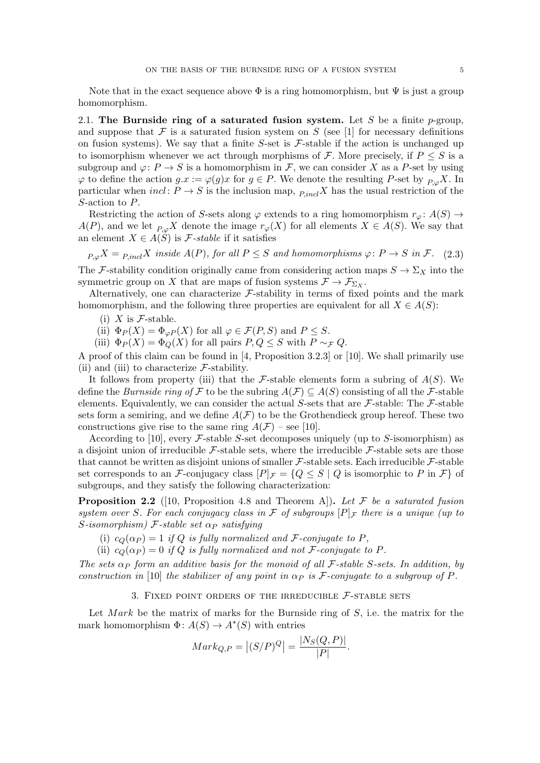Note that in the exact sequence above  $\Phi$  is a ring homomorphism, but  $\Psi$  is just a group homomorphism.

2.1. The Burnside ring of a saturated fusion system. Let *S* be a finite *p*-group, and suppose that  $\mathcal F$  is a saturated fusion system on  $S$  (see [\[1\]](#page-24-7) for necessary definitions on fusion systems). We say that a finite  $S$ -set is  $\mathcal{F}$ -stable if the action is unchanged up to isomorphism whenever we act through morphisms of  $\mathcal F$ . More precisely, if  $P \leq S$  is a subgroup and  $\varphi: P \to S$  is a homomorphism in *F*, we can consider *X* as a *P*-set by using  $\varphi$  to define the action  $g.x := \varphi(g)x$  for  $g \in P$ . We denote the resulting *P*-set by  $p_{\varphi} X$ . In particular when *incl*:  $P \rightarrow S$  is the inclusion map,  $_{P, incl} X$  has the usual restriction of the *S*-action to *P*.

Restricting the action of *S*-sets along  $\varphi$  extends to a ring homomorphism  $r_{\varphi} \colon A(S) \to$ *A*(*P*), and we let  $_{P,\varphi}X$  denote the image  $r_{\varphi}(X)$  for all elements  $X \in A(S)$ . We say that an element  $X \in A(S)$  is *F*-stable if it satisfies

<span id="page-4-0"></span> $P_{\nu} \propto X = P_{\nu}$  *incl*<sup>*X*</sup> *inside A*(*P*)*, for all P*  $\leq$  *S and homomorphisms*  $\varphi$ : *P*  $\rightarrow$  *S in F.* (2.3) The *F*-stability condition originally came from considering action maps  $S \to \Sigma_X$  into the symmetric group on *X* that are maps of fusion systems  $\mathcal{F} \to \mathcal{F}_{\Sigma_Y}$ .

Alternatively, one can characterize  $F$ -stability in terms of fixed points and the mark homomorphism, and the following three properties are equivalent for all  $X \in A(S)$ :

(i)  $X$  is  $\mathcal{F}\text{-stable}$ .

<span id="page-4-3"></span>(ii)  $\Phi_P(X) = \Phi_{\varphi P}(X)$  for all  $\varphi \in \mathcal{F}(P, S)$  and  $P \leq S$ .

(iii)  $\Phi_P(X) = \Phi_Q(X)$  for all pairs  $P, Q \leq S$  with  $P \sim_{\mathcal{F}} Q$ .

<span id="page-4-4"></span>A proof of this claim can be found in [\[4,](#page-24-8) Proposition 3.2.3] or [\[10\]](#page-24-1). We shall primarily use [\(ii\)](#page-4-3) and [\(iii\)](#page-4-4) to characterize  $\mathcal{F}$ -stability.

It follows from property [\(iii\)](#page-4-4) that the  $\mathcal F$ -stable elements form a subring of  $A(S)$ . We define the *Burnside ring of*  $\mathcal F$  to be the subring  $A(\mathcal F) \subseteq A(S)$  consisting of all the  $\mathcal F$ -stable elements. Equivalently, we can consider the actual *S*-sets that are *F*-stable: The *F*-stable sets form a semiring, and we define  $A(F)$  to be the Grothendieck group hereof. These two constructions give rise to the same ring  $A(F)$  – see [\[10\]](#page-24-1).

According to [\[10\]](#page-24-1), every *F*-stable *S*-set decomposes uniquely (up to *S*-isomorphism) as a disjoint union of irreducible *F*-stable sets, where the irreducible *F*-stable sets are those that cannot be written as disjoint unions of smaller  $\mathcal F$ -stable sets. Each irreducible  $\mathcal F$ -stable set corresponds to an *F*-conjugacy class  $[P]_F = \{Q \leq S | Q$  is isomorphic to *P* in *F*} of subgroups, and they satisfy the following characterization:

<span id="page-4-1"></span>Proposition 2.2 ([\[10,](#page-24-1) Proposition 4.8 and Theorem A]). *Let F be a saturated fusion system over S. For each conjugacy class in*  $\mathcal F$  *of subgroups*  $[P]_{\mathcal F}$  *there is a unique (up to*  $S$ *-isomorphism*)  $\mathcal{F}$ *-stable set*  $\alpha_P$  *satisfying* 

(i)  $c_Q(\alpha_P) = 1$  *if Q is fully normalized and F-conjugate to P,* 

(ii)  $c_Q(\alpha_P) = 0$  *if*  $Q$  *is fully normalized and not*  $\mathcal{F}$ *-conjugate to*  $P$ *.* 

*The sets*  $\alpha_P$  *form an additive basis for the monoid of all F*-stable *S*-sets. In addition, by *construction in* [\[10\]](#page-24-1) *the stabilizer of any point in*  $\alpha_P$  *is F*-*conjugate to a subgroup of P*.

3. Fixed point orders of the irreducible *F*-stable sets

<span id="page-4-2"></span>Let *Mark* be the matrix of marks for the Burnside ring of *S*, i.e. the matrix for the mark homomorphism  $\Phi: A(S) \to A^*(S)$  with entries

$$
Mark_{Q,P} = | (S/P)^{Q} | = \frac{|N_S(Q,P)|}{|P|}.
$$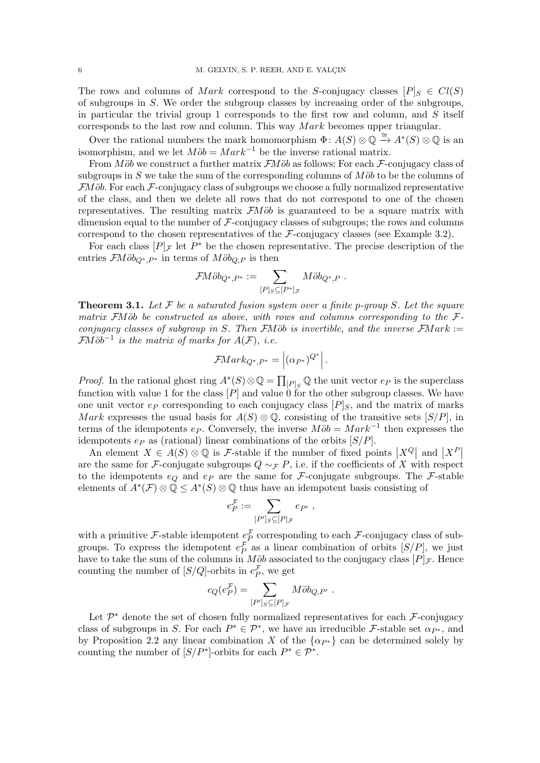The rows and columns of *Mark* correspond to the *S*-conjugacy classes  $[P]_S \in Cl(S)$ of subgroups in *S*. We order the subgroup classes by increasing order of the subgroups, in particular the trivial group 1 corresponds to the first row and column, and *S* itself corresponds to the last row and column. This way *M ark* becomes upper triangular.

Over the rational numbers the mark homomorphism  $\Phi: A(S) \otimes \mathbb{Q} \xrightarrow{\cong} A^*(S) \otimes \mathbb{Q}$  is an isomorphism, and we let  $M\ddot{\circ}b = Mark^{-1}$  be the inverse rational matrix.

From *Mob* we construct a further matrix *FMob* as follows: For each *F*-conjugacy class of subgroups in  $S$  we take the sum of the corresponding columns of  $M\ddot{o}b$  to be the columns of  $FM\ddot{o}b$ . For each  $\mathcal{F}\text{-conjugacy class of subgroups we choose a fully normalized representative}$ of the class, and then we delete all rows that do not correspond to one of the chosen representatives. The resulting matrix  $\mathcal{F}M\ddot{o}b$  is guaranteed to be a square matrix with dimension equal to the number of *F*-conjugacy classes of subgroups; the rows and columns correspond to the chosen representatives of the *F*-conjugacy classes (see Example [3.2\)](#page-6-0).

For each class  $[P]_F$  let  $P^*$  be the chosen representative. The precise description of the entries  $\mathcal{F}M\ddot{o}b_{Q^*,P^*}$  in terms of  $M\ddot{o}b_{Q,P}$  is then

$$
\mathcal{F}M\ddot{o}b_{Q^*,P^*}:=\sum_{[P]_S\subseteq [P^*]_{\mathcal{F}}}M\ddot{o}b_{Q^*,P}\ .
$$

<span id="page-5-0"></span>Theorem 3.1. *Let F be a saturated fusion system over a finite p-group S. Let the square matrix*  $\overline{F}M\ddot{o}b$  *be constructed as above, with rows and columns corresponding to the*  $\mathcal{F}$ *conjugacy classes of subgroup in S. Then*  $\mathcal{F}$ *Mob is invertible, and the inverse*  $\mathcal{F}$ *Mark* := *FM* $\ddot{\phi}b^{-1}$  *is the matrix of marks for*  $A(F)$ *, i.e.* 

$$
\mathcal{F}Mark_{Q^*,P^*} = |(\alpha_{P^*})^{Q^*}|.
$$

*Proof.* In the rational ghost ring  $A^*(S) \otimes \mathbb{Q} = \prod_{[P]_S} \mathbb{Q}$  the unit vector  $e_P$  is the superclass function with value 1 for the class [*P*] and value 0 for the other subgroup classes. We have one unit vector  $e_P$  corresponding to each conjugacy class  $[P]_S$ , and the matrix of marks *Mark* expresses the usual basis for  $A(S) \otimes \mathbb{Q}$ , consisting of the transitive sets  $[S/P]$ , in terms of the idempotents  $e_P$ . Conversely, the inverse  $M\ddot{\circ}b = Mark^{-1}$  then expresses the idempotents *e<sup>P</sup>* as (rational) linear combinations of the orbits [*S/P*].

An element  $X \in A(S) \otimes \mathbb{Q}$  is *F*-stable if the number of fixed points  $|X^Q|$  and  $|X^P|$ are the same for *F*-conjugate subgroups  $Q \sim_F P$ , i.e. if the coefficients of *X* with respect to the idempotents  $e_Q$  and  $e_P$  are the same for *F*-conjugate subgroups. The *F*-stable elements of  $A^*(\mathcal{F}) \otimes \mathbb{Q} \leq A^*(S) \otimes \mathbb{Q}$  thus have an idempotent basis consisting of

$$
e_P^{\mathcal{F}} := \sum_{[P']_S \subseteq [P]_{\mathcal{F}}} e_{P'} ,
$$

with a primitive *F*-stable idempotent  $e^{\mathcal{F}}_P$  corresponding to each *F*-conjugacy class of subgroups. To express the idempotent  $e^{\mathcal{F}}_P$  as a linear combination of orbits  $[S/P]$ , we just have to take the sum of the columns in *Möb* associated to the conjugacy class  $[P]_F$ . Hence counting the number of  $[S/Q]$ -orbits in  $e^{\mathcal{L}}_P$ , we get

$$
c_Q(e_P^{\mathcal{F}}) = \sum_{[P']_S \subseteq [P]_{\mathcal{F}}} M \ddot{o} b_{Q,P'}.
$$

Let  $\mathcal{P}^*$  denote the set of chosen fully normalized representatives for each  $\mathcal{F}$ -conjugacy class of subgroups in *S*. For each  $P^* \in \mathcal{P}^*$ , we have an irreducible *F*-stable set  $\alpha_{P^*}$ , and by Proposition [2.2](#page-4-1) any linear combination *X* of the  $\{\alpha_{P^*}\}\)$  can be determined solely by counting the number of  $[S/P^*]$ -orbits for each  $P^* \in \mathcal{P}^*$ .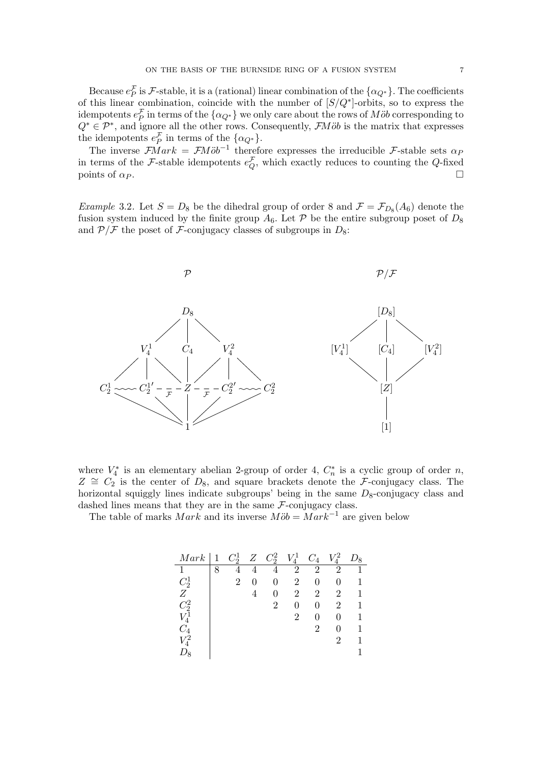Because  $e_P^F$  is *F*-stable, it is a (rational) linear combination of the  $\{\alpha_{Q^*}\}\$ . The coefficients of this linear combination, coincide with the number of  $[S/Q^*]$ -orbits, so to express the idempotents  $e_P^{\mathcal{F}}$  in terms of the  $\{\alpha_{Q^*}\}\$  we only care about the rows of  $M\ddot{o}b$  corresponding to  $Q^* \in \mathcal{P}^*$ , and ignore all the other rows. Consequently, *FMob* is the matrix that expresses the idempotents  $e^{\mathcal{L}}_P$  in terms of the  $\{\alpha_{Q^*}\}.$ 

The inverse  $\mathcal{F}Mark = \mathcal{F}M\ddot{o}b^{-1}$  therefore expresses the irreducible  $\mathcal{F}$ -stable sets  $\alpha_F$ in terms of the *F*-stable idempotents  $e^{\mathcal{L}}_Q$ , which exactly reduces to counting the *Q*-fixed points of  $\alpha_P$ .

<span id="page-6-0"></span>*Example* 3.2*.* Let  $S = D_8$  be the dihedral group of order 8 and  $\mathcal{F} = \mathcal{F}_{D_8}(A_6)$  denote the fusion system induced by the finite group  $A_6$ . Let  $\mathcal P$  be the entire subgroup poset of  $D_8$ and  $P/F$  the poset of *F*-conjugacy classes of subgroups in  $D_8$ :



where  $V_4^*$  is an elementary abelian 2-group of order 4,  $C_n^*$  is a cyclic group of order *n*,  $Z \cong C_2$  is the center of  $D_8$ , and square brackets denote the *F*-conjugacy class. The horizontal squiggly lines indicate subgroups' being in the same  $D_8$ -conjugacy class and dashed lines means that they are in the same *F*-conjugacy class.

The table of marks *Mark* and its inverse  $M\ddot{o}b = Mark^{-1}$  are given below

| Mark            | $\mathbf{1}$ | $C_2^1$ |   | $Z \quad C_2^2$ | $V_4^1$        | $\mathcal{C}_4$ | $V_4^2$ | $D_8$ |
|-----------------|--------------|---------|---|-----------------|----------------|-----------------|---------|-------|
|                 | 8            |         |   |                 | $\overline{2}$ | $\overline{2}$  | 2       |       |
| $C_2^1$         |              | 2       | 0 | 0               | 2              | 0               |         |       |
| Ζ               |              |         |   | $\mathbf{0}$    | 2              | 2               | 2       | 1     |
| $C_2^2$         |              |         |   | 2               | 0              | $\theta$        | 2       |       |
| $V_4^{\bar{1}}$ |              |         |   |                 | 2              | 0               |         |       |
| $C_{4}$         |              |         |   |                 |                | 2               |         |       |
| $V_4^2$         |              |         |   |                 |                |                 | 2       |       |
| , J             |              |         |   |                 |                |                 |         |       |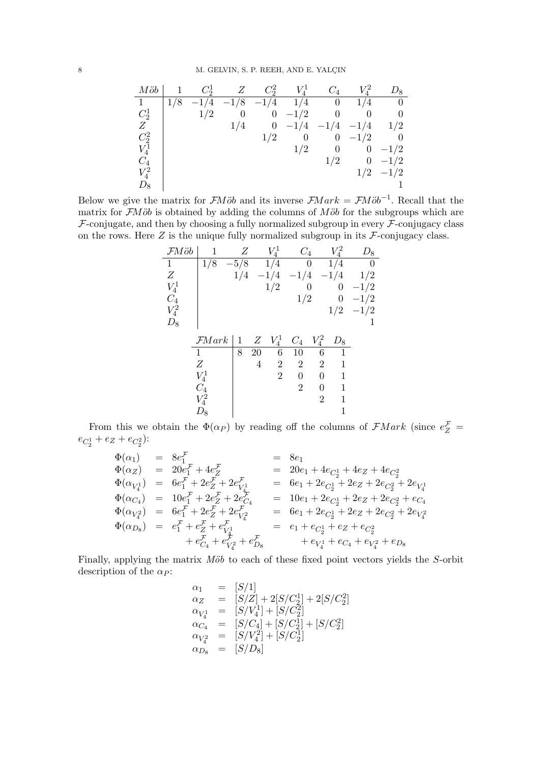| $M\ddot{o}b$    |     | $C_2^1$ | Z              | $C_2^2$        | $V^1_{\scriptscriptstyle{A}}$ | $C_4$          |                | $D_8\,$        |
|-----------------|-----|---------|----------------|----------------|-------------------------------|----------------|----------------|----------------|
| $\mathbf{1}$    | 1/8 | $-1/4$  | $-1/8$         | $-1/4$         | 1/4                           | $\overline{0}$ | 1/4            |                |
| $C_2^1$         |     | 1/2     | $\overline{0}$ | $\overline{0}$ | $-1/2$                        | $\theta$       |                |                |
| Ζ               |     |         | 1/4            | $\overline{0}$ | $-1/4$                        | $-1/4$         | $-1/4$         | 1/2            |
| $C_2^2$         |     |         |                | 1/2            | $\boldsymbol{0}$              | $\overline{0}$ | $-1/2$         | $\overline{0}$ |
| $V_4^{\bar{1}}$ |     |         |                |                | 1/2                           | $\theta$       | 0              | $-1/2$         |
| $C_4$           |     |         |                |                |                               | 1/2            | $\overline{0}$ | $-1/2$         |
| $V_4^2$         |     |         |                |                |                               |                |                | $1/2$ $-1/2$   |
| $D_8$           |     |         |                |                |                               |                |                |                |

Below we give the matrix for *FMob* and its inverse  $\mathcal{F}Mark = \mathcal{F}M\ddot{o}b^{-1}$ . Recall that the matrix for  $FM\ddot{o}b$  is obtained by adding the columns of  $M\ddot{o}b$  for the subgroups which are *F*-conjugate, and then by choosing a fully normalized subgroup in every *F*-conjugacy class on the rows. Here  $Z$  is the unique fully normalized subgroup in its  $\mathcal{F}$ -conjugacy class.

| FMöb            | 1                 | Z      |    | $V_4^1$        | $C_4$           |                | $V^2_{\scriptscriptstyle{A}}$ | ${\mathcal D}_8$ |
|-----------------|-------------------|--------|----|----------------|-----------------|----------------|-------------------------------|------------------|
| 1               | 1/8               | $-5/8$ |    | 1/4            |                 | 0              | 1/4                           | 0                |
| Ζ               |                   | 1/4    |    | $-1/4$         | $-1/4$          |                | $-1/4$                        | 1/2              |
| $V_4^1$         |                   |        |    | 1/2            |                 | $\overline{0}$ | 0                             | $-1/2$           |
| $C_4$           |                   |        |    |                | 1/2             |                | $\boldsymbol{0}$              | $-1/2$           |
| $V_4^2$         |                   |        |    |                |                 |                | 1/2                           | $-1/2$           |
| $\mathcal{D}_8$ |                   |        |    |                |                 |                |                               | 1                |
|                 | $\mathcal{F}Mark$ | 1      | Ζ  | $V_4^1$        | $\mathcal{C}_4$ | $V_4^2$        | $\mathcal{D}_8$               |                  |
|                 | 1                 | 8      | 20 | 6              | 10              | 6              |                               |                  |
|                 | Ζ                 |        | 4  | $\overline{2}$ | $\overline{2}$  | $\overline{2}$ | 1                             |                  |
|                 | $V_4^1$           |        |    | $\overline{2}$ | 0               | 0              | 1                             |                  |
|                 | $C_4$             |        |    |                | $\overline{2}$  | 0              | 1                             |                  |
|                 | $V^2_4$           |        |    |                |                 | $\overline{2}$ | 1                             |                  |
|                 | $\nu_8$           |        |    |                |                 |                |                               |                  |

From this we obtain the  $\Phi(\alpha_P)$  by reading off the columns of  $\mathcal{F}Mark$  (since  $e_Z^{\mathcal{F}}$  =  $e_{C_2^1} + e_Z + e_{C_2^2}$ :

$$
\begin{array}{rcl}\n\Phi(\alpha_1) & = & 8e_1^{\mathcal{F}} & = & 8e_1 \\
\Phi(\alpha_Z) & = & 20e_1^{\mathcal{F}} + 4e_Z^{\mathcal{F}} & = & 20e_1 + 4e_{C_2^1} + 4e_Z + 4e_{C_2^2} \\
\Phi(\alpha_{V_4^1}) & = & 6e_1^{\mathcal{F}} + 2e_Z^{\mathcal{F}} + 2e_{V_4^1} & = & 6e_1 + 2e_{C_2^1} + 2e_Z + 2e_{C_2^2} + 2e_{V_4^1} \\
\Phi(\alpha_{C_4}) & = & 10e_1^{\mathcal{F}} + 2e_Z^{\mathcal{F}} + 2e_{C_4^4} & = & 10e_1 + 2e_{C_2^1} + 2e_Z + 2e_{C_2^2} + e_{C_4} \\
\Phi(\alpha_{V_4^2}) & = & 6e_1^{\mathcal{F}} + 2e_Z^{\mathcal{F}} + 2e_{V_4^2} & = & 6e_1 + 2e_{C_2^1} + 2e_Z + 2e_{C_2^2} + 2e_{V_4^2} \\
\Phi(\alpha_{D_8}) & = & e_1^{\mathcal{F}} + e_{Z}^{\mathcal{F}} + e_{V_4^1}^{\mathcal{F}} & = & e_1 + e_{C_2^1} + e_Z + e_{C_2^2} \\
& + e_{C_4}^{\mathcal{F}} + e_{V_4^2}^{\mathcal{F}} + e_{D_8}^{\mathcal{F}} & + e_{V_4^1} + e_{C_4} + e_{V_4^2} + e_{D_8}\n\end{array}
$$

Finally, applying the matrix *Möb* to each of these fixed point vectors yields the *S*-orbit description of the  $\alpha$ *P*:

$$
\alpha_1 = [S/1] \n\alpha_2 = [S/Z] + 2[S/C_2^1] + 2[S/C_2^2] \n\alpha_{V_4^1} = [S/V_4^1] + [S/C_2^2] \n\alpha_{C_4} = [S/C_4] + [S/C_2^1] + [S/C_2^2] \n\alpha_{V_4^2} = [S/V_4^2] + [S/C_2^1] \n\alpha_{D_8} = [S/D_8]
$$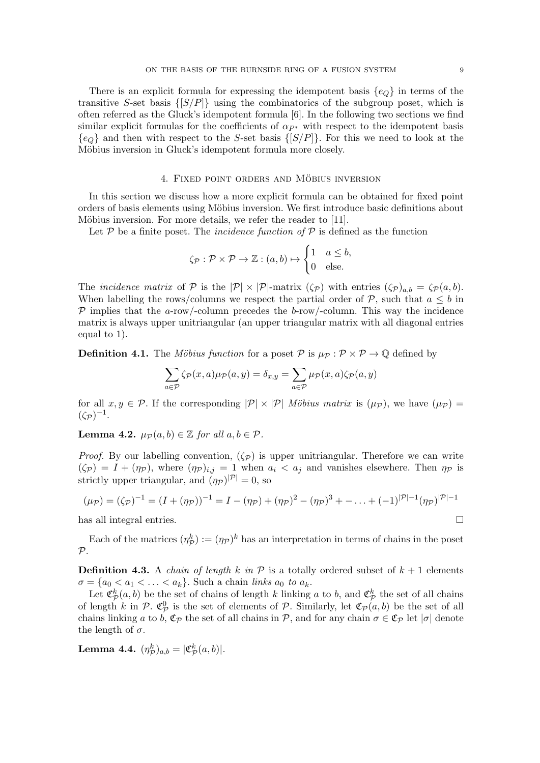There is an explicit formula for expressing the idempotent basis *{eQ}* in terms of the transitive *S*-set basis *{*[*S/P*]*}* using the combinatorics of the subgroup poset, which is often referred as the Gluck's idempotent formula [\[6\]](#page-24-0). In the following two sections we find similar explicit formulas for the coefficients of  $\alpha_{P^*}$  with respect to the idempotent basis *{eQ}* and then with respect to the *S*-set basis *{*[*S/P*]*}*. For this we need to look at the Möbius inversion in Gluck's idempotent formula more closely.

# 4. FIXED POINT ORDERS AND MÖBIUS INVERSION

<span id="page-8-0"></span>In this section we discuss how a more explicit formula can be obtained for fixed point orders of basis elements using Möbius inversion. We first introduce basic definitions about Möbius inversion. For more details, we refer the reader to [\[11\]](#page-24-9).

Let  $P$  be a finite poset. The *incidence function of*  $P$  is defined as the function

$$
\zeta_{\mathcal{P}} : \mathcal{P} \times \mathcal{P} \to \mathbb{Z} : (a, b) \mapsto \begin{cases} 1 & a \leq b, \\ 0 & \text{else.} \end{cases}
$$

The *incidence matrix* of  $P$  is the  $|P| \times |P|$ -matrix  $(\zeta_P)$  with entries  $(\zeta_P)_{a,b} = \zeta_P(a,b)$ . When labelling the rows/columns we respect the partial order of  $P$ , such that  $a \leq b$  in *P* implies that the *a*-row/-column precedes the *b*-row/-column. This way the incidence matrix is always upper unitriangular (an upper triangular matrix with all diagonal entries equal to 1).

**Definition 4.1.** The *Möbius function* for a poset  $P$  is  $\mu_{\mathcal{P}} : \mathcal{P} \times \mathcal{P} \rightarrow \mathbb{Q}$  defined by

$$
\sum_{a \in \mathcal{P}} \zeta_{\mathcal{P}}(x, a) \mu_{\mathcal{P}}(a, y) = \delta_{x, y} = \sum_{a \in \mathcal{P}} \mu_{\mathcal{P}}(x, a) \zeta_{\mathcal{P}}(a, y)
$$

for all  $x, y \in \mathcal{P}$ . If the corresponding  $|\mathcal{P}| \times |\mathcal{P}|$  *Möbius matrix* is  $(\mu_{\mathcal{P}})$ , we have  $(\mu_{\mathcal{P}})$  $({\zeta_{\mathcal{P}}})^{-1}.$ 

<span id="page-8-1"></span>**Lemma 4.2.**  $\mu_{\mathcal{P}}(a, b) \in \mathbb{Z}$  *for all*  $a, b \in \mathcal{P}$ *.* 

*Proof.* By our labelling convention,  $(\zeta_p)$  is upper unitriangular. Therefore we can write  $(\zeta_{\mathcal{P}}) = I + (\eta_{\mathcal{P}})$ , where  $(\eta_{\mathcal{P}})_{i,j} = 1$  when  $a_i < a_j$  and vanishes elsewhere. Then  $\eta_{\mathcal{P}}$  is strictly upper triangular, and  $(\eta_P)^{|\mathcal{P}|} = 0$ , so

$$
(\mu_{\mathcal{P}}) = (\zeta_{\mathcal{P}})^{-1} = (I + (\eta_{\mathcal{P}}))^{-1} = I - (\eta_{\mathcal{P}}) + (\eta_{\mathcal{P}})^2 - (\eta_{\mathcal{P}})^3 + \dots + (-1)^{|\mathcal{P}|-1} (\eta_{\mathcal{P}})^{|\mathcal{P}|-1}
$$
  
has all integral entries.

Each of the matrices  $(\eta_{\mathcal{P}}^k) := (\eta_{\mathcal{P}})^k$  has an interpretation in terms of chains in the poset *P*.

**Definition 4.3.** A *chain of length*  $k$  *in*  $P$  is a totally ordered subset of  $k + 1$  elements  $\sigma = \{a_0 < a_1 < \ldots < a_k\}$ . Such a chain *links*  $a_0$  *to*  $a_k$ .

Let  $\mathfrak{C}_{\mathcal{P}}^k(a, b)$  be the set of chains of length *k* linking *a* to *b*, and  $\mathfrak{C}_{\mathcal{P}}^k$  the set of all chains of length *k* in  $P$ .  $\mathfrak{C}_{P}^{0}$  is the set of elements of  $P$ . Similarly, let  $\mathfrak{C}_{P}(a, b)$  be the set of all chains linking *a* to *b*,  $\mathfrak{C}_{\mathcal{P}}$  the set of all chains in  $\mathcal{P}$ , and for any chain  $\sigma \in \mathfrak{C}_{\mathcal{P}}$  let  $|\sigma|$  denote the length of  $\sigma$ .

<span id="page-8-2"></span>Lemma 4.4.  $(\eta_{\mathcal{P}}^k)_{a,b} = |\mathfrak{C}_{\mathcal{P}}^k(a,b)|$ *.*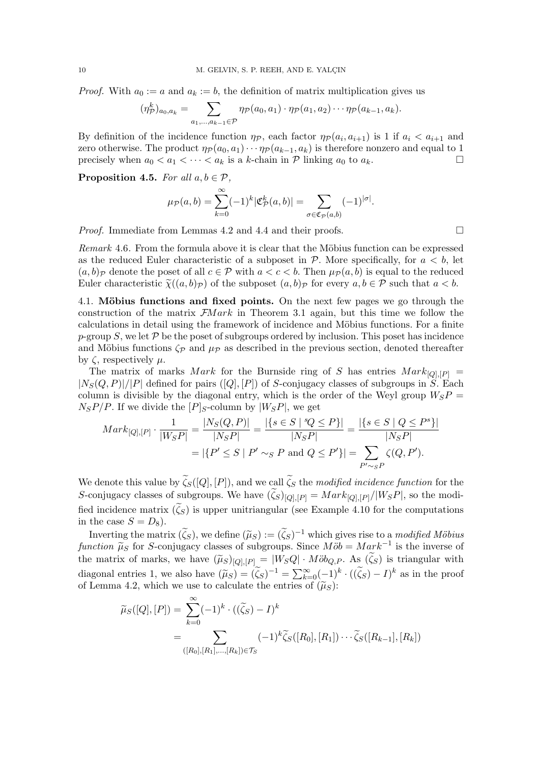*Proof.* With  $a_0 := a$  and  $a_k := b$ , the definition of matrix multiplication gives us

$$
(\eta_{\mathcal{P}}^k)_{a_0,a_k} = \sum_{a_1,\ldots,a_{k-1}\in\mathcal{P}} \eta_{\mathcal{P}}(a_0,a_1)\cdot \eta_{\mathcal{P}}(a_1,a_2)\cdots \eta_{\mathcal{P}}(a_{k-1},a_k).
$$

By definition of the incidence function  $\eta_p$ , each factor  $\eta_p(a_i, a_{i+1})$  is 1 if  $a_i < a_{i+1}$  and zero otherwise. The product  $\eta_{\mathcal{P}}(a_0, a_1) \cdots \eta_{\mathcal{P}}(a_{k-1}, a_k)$  is therefore nonzero and equal to 1<br>precisely when  $a_0 \le a_1 \le \cdots \le a_k$  is a k-chain in  $\mathcal{P}$  linking  $a_0$  to  $a_k$ precisely when  $a_0 < a_1 < \cdots < a_k$  is a *k*-chain in  $P$  linking  $a_0$  to  $a_k$ .

**Proposition 4.5.** *For all*  $a, b \in \mathcal{P}$ *,* 

$$
\mu_{\mathcal{P}}(a,b) = \sum_{k=0}^{\infty} (-1)^k |\mathfrak{C}_{\mathcal{P}}^k(a,b)| = \sum_{\sigma \in \mathfrak{C}_{\mathcal{P}}(a,b)} (-1)^{|\sigma|}.
$$

*Proof.* Immediate from Lemmas [4.2](#page-8-1) and [4.4](#page-8-2) and their proofs.  $\Box$ 

*Remark* 4.6. From the formula above it is clear that the Möbius function can be expressed as the reduced Euler characteristic of a subposet in  $P$ . More specifically, for  $a < b$ , let  $(a, b)_\mathcal{P}$  denote the poset of all  $c \in \mathcal{P}$  with  $a < c < b$ . Then  $\mu_\mathcal{P}(a, b)$  is equal to the reduced Euler characteristic  $\widetilde{\chi}((a, b)_\mathcal{P})$  of the subposet  $(a, b)_\mathcal{P}$  for every  $a, b \in \mathcal{P}$  such that  $a < b$ .

4.1. Möbius functions and fixed points. On the next few pages we go through the construction of the matrix *FM ark* in Theorem [3.1](#page-5-0) again, but this time we follow the calculations in detail using the framework of incidence and Möbius functions. For a finite  $p$ -group *S*, we let  $\mathcal P$  be the poset of subgroups ordered by inclusion. This poset has incidence and Möbius functions  $\zeta_{\mathcal{P}}$  and  $\mu_{\mathcal{P}}$  as described in the previous section, denoted thereafter by  $\zeta$ , respectively  $\mu$ .

The matrix of marks *Mark* for the Burnside ring of *S* has entries  $Mark_{[Q],[P]}$  =  $|N_S(Q, P)|/|P|$  defined for pairs ([*Q*]*,* [*P*]) of *S*-conjugacy classes of subgroups in *S*. Each column is divisible by the diagonal entry, which is the order of the Weyl group  $W_{S}P =$  $N_S P/P$ . If we divide the  $[P]_S$ -column by  $|W_S P|$ , we get

$$
Mark_{[Q],[P]} \cdot \frac{1}{|W_{S}P|} = \frac{|N_{S}(Q,P)|}{|N_{S}P|} = \frac{|\{s \in S \mid {}^s \! Q \leq P\}|}{|N_{S}P|} = \frac{|\{s \in S \mid Q \leq P^{s}\}|}{|N_{S}P|}
$$

$$
= |\{P' \leq S \mid P' \sim_{S} P \text{ and } Q \leq P'\}| = \sum_{P' \sim_{S} P} \zeta(Q,P').
$$

We denote this value by  $\zeta_{S}([Q],[P])$ , and we call  $\zeta_{S}$  the *modified incidence function* for the S-conjugacy classes of subgroups. We have  $(\zeta_S)_{[Q],[P]} = Mark_{[Q],[P]}/|W_S P|$ , so the modified incidence matrix  $(\zeta_s)$  is upper unitriangular (see Example [4.10](#page-12-1) for the computations in the case  $S = D_8$ ).

Inverting the matrix  $(\zeta_S)$ , we define  $(\widetilde{\mu}_S) := (\zeta_S)^{-1}$  which gives rise to a *modified Möbius function*  $\widetilde{\mu}_S$  for *S*-conjugacy classes of subgroups. Since  $M\ddot{\phi}b = Mark^{-1}$  is the inverse of the matrix of marks, we have  $(\widetilde{\mu}_S)_{[Q],[P]} = |W_S Q| \cdot M \ddot{o} b_{Q,P}$ . As  $(\zeta_S)$  is triangular with diagonal entries 1, we also have  $(\widetilde{\mu}_S) = (\widetilde{\zeta}_S)^{-1} = \sum_{k=0}^{\infty} (-1)^k \cdot ((\widetilde{\zeta}_S) - I)^k$  as in the proof of Lemma [4.2,](#page-8-1) which we use to calculate the entries of  $(\widetilde{\mu}_S)$ :

$$
\widetilde{\mu}_S([Q],[P]) = \sum_{k=0}^{\infty} (-1)^k \cdot ((\widetilde{\zeta}_S) - I)^k
$$
  
= 
$$
\sum_{([R_0],[R_1],\ldots,[R_k]) \in \mathcal{T}_S} (-1)^k \widetilde{\zeta}_S([R_0],[R_1]) \cdots \widetilde{\zeta}_S([R_{k-1}],[R_k])
$$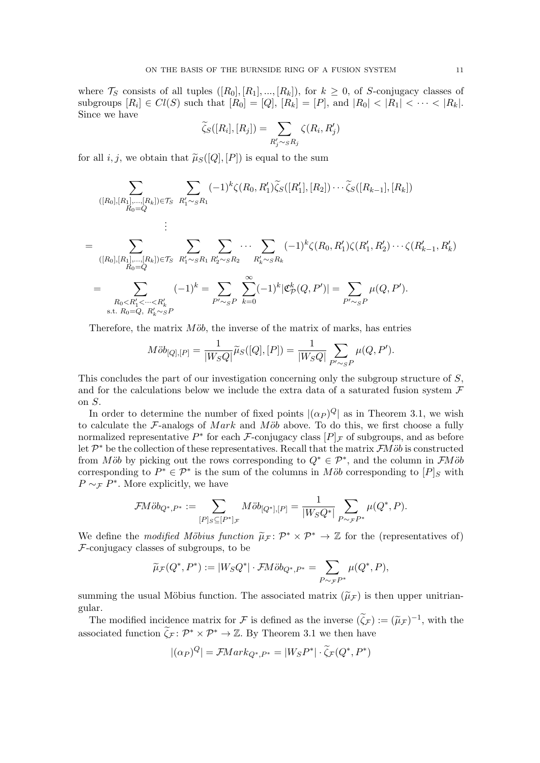where  $\mathcal{T}_S$  consists of all tuples  $([R_0], [R_1], ..., [R_k])$ , for  $k \geq 0$ , of *S*-conjugacy classes of subgroups  $[R_i] \in Cl(S)$  such that  $[R_0] = [Q], [R_k] = [P]$ , and  $|R_0| < |R_1| < \cdots < |R_k|$ . Since we have

$$
\widetilde{\zeta}_S([R_i],[R_j]) = \sum_{R'_j \sim_S R_j} \zeta(R_i,R'_j)
$$

for all *i, j*, we obtain that  $\widetilde{\mu}_S([Q], [P])$  is equal to the sum

$$
\sum_{([R_0],[R_1],\ldots,[R_k])\in\mathcal{T}_S} \sum_{R'_1\sim_{S}R_1} (-1)^k \zeta(R_0,R'_1) \widetilde{\zeta}_S([R'_1],[R_2])\cdots \widetilde{\zeta}_S([R_{k-1}],[R_k])
$$
\n
$$
= \sum_{([R_0],[R_1],\ldots,[R_k])\in\mathcal{T}_S} \sum_{R'_1\sim_{S}R_1} \sum_{R'_2\sim_{S}R_2} \cdots \sum_{R'_k\sim_{S}R_k} (-1)^k \zeta(R_0,R'_1) \zeta(R'_1,R'_2)\cdots \zeta(R'_{k-1},R'_k)
$$
\n
$$
= \sum_{R_0\n
$$
\text{s.t. } R_0=Q, R'_k\sim_{S}P
$$
$$

Therefore, the matrix  $M\ddot{\partial}b$ , the inverse of the matrix of marks, has entries

$$
M\ddot{o}b_{[Q],[P]} = \frac{1}{|W_S Q|} \tilde{\mu}_S([Q],[P]) = \frac{1}{|W_S Q|} \sum_{P' \sim_S P} \mu(Q, P').
$$

This concludes the part of our investigation concerning only the subgroup structure of *S*, and for the calculations below we include the extra data of a saturated fusion system *F* on *S*.

In order to determine the number of fixed points  $|(\alpha_P)^Q|$  as in Theorem [3.1,](#page-5-0) we wish to calculate the  $F$ -analogs of *Mark* and *Möb* above. To do this, we first choose a fully normalized representative  $P^*$  for each *F*-conjugacy class  $[P]_F$  of subgroups, and as before let  $\mathcal{P}^*$  be the collection of these representatives. Recall that the matrix  $\mathcal{F}M\ddot{o}b$  is constructed from *Möb* by picking out the rows corresponding to  $Q^* \in \mathcal{P}^*$ , and the column in *FMöb* corresponding to  $P^* \in \mathcal{P}^*$  is the sum of the columns in *Mob* corresponding to  $[P]_S$  with  $P \sim_{\mathcal{F}} P^*$ . More explicitly, we have

$$
\mathcal{F}M\ddot{o}b_{Q^*,P^*}:=\sum_{[P]_S\subseteq [P^*]_{\mathcal{F}}}M\ddot{o}b_{[Q^*],[P]}=\frac{1}{|W_{S}Q^*|}\sum_{P\sim_{\mathcal{F}}P^*}\mu(Q^*,P).
$$

We define the *modified Möbius function*  $\tilde{\mu}_F \colon \mathcal{P}^* \times \mathcal{P}^* \to \mathbb{Z}$  for the (representatives of) *F*-conjugacy classes of subgroups, to be

$$
\widetilde{\mu}_{\mathcal{F}}(Q^*, P^*) := |W_S Q^*| \cdot \mathcal{F}M \ddot{o} b_{Q^*, P^*} = \sum_{P \sim_{\mathcal{F}} P^*} \mu(Q^*, P),
$$

summing the usual Möbius function. The associated matrix  $(\tilde{\mu}_F)$  is then upper unitriangular.

The modified incidence matrix for *F* is defined as the inverse  $(\tilde{\zeta}_{\mathcal{F}}) := (\tilde{\mu}_{\mathcal{F}})^{-1}$ , with the associated function  $\zeta_{\mathcal{F}} \colon \mathcal{P}^* \times \mathcal{P}^* \to \mathbb{Z}$ . By Theorem [3.1](#page-5-0) we then have

$$
|(\alpha_P)^Q| = \mathcal{F}Mark_{Q^*,P^*} = |W_S P^*| \cdot \widetilde{\zeta}_{\mathcal{F}}(Q^*,P^*)
$$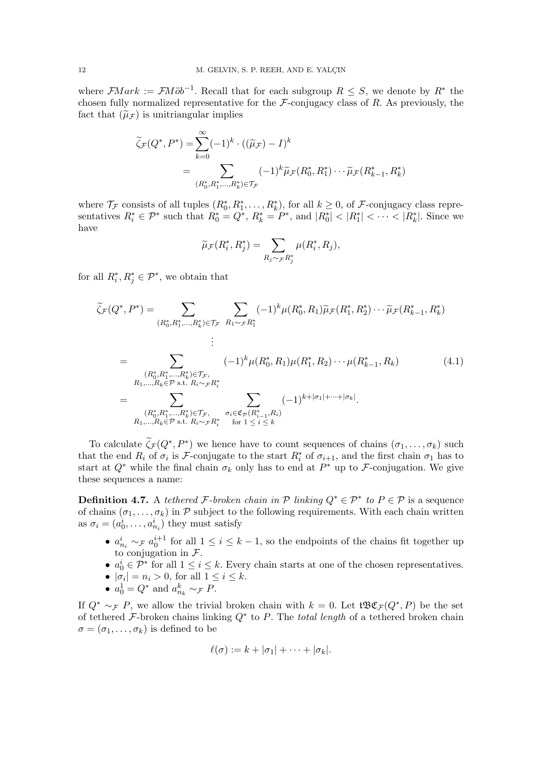where  $\mathcal{F}Mark := \mathcal{F}M\ddot{o}b^{-1}$ . Recall that for each subgroup  $R \leq S$ , we denote by  $R^*$  the chosen fully normalized representative for the *F*-conjugacy class of *R*. As previously, the fact that  $(\tilde{\mu}_F)$  is unitriangular implies

$$
\widetilde{\zeta}_{\mathcal{F}}(Q^*, P^*) = \sum_{k=0}^{\infty} (-1)^k \cdot ((\widetilde{\mu}_{\mathcal{F}}) - I)^k
$$
  
= 
$$
\sum_{(R_0^*, R_1^*, \dots, R_k^*) \in \mathcal{T}_{\mathcal{F}}} (-1)^k \widetilde{\mu}_{\mathcal{F}}(R_0^*, R_1^*) \cdots \widetilde{\mu}_{\mathcal{F}}(R_{k-1}^*, R_k^*)
$$

where  $\mathcal{T}_{\mathcal{F}}$  consists of all tuples  $(R_0^*, R_1^*, \ldots, R_k^*)$ , for all  $k \geq 0$ , of  $\mathcal{F}$ -conjugacy class representatives  $R_i^* \in \mathcal{P}^*$  such that  $R_0^* = Q^*$ ,  $R_k^* = P^*$ , and  $|R_0^*| < |R_1^*| < \cdots < |R_k^*|$ . Since we have

<span id="page-11-1"></span>
$$
\widetilde{\mu}_{\mathcal{F}}(R_i^*, R_j^*) = \sum_{R_j \sim_{\mathcal{F}} R_j^*} \mu(R_i^*, R_j),
$$

for all  $R_i^*, R_j^* \in \mathcal{P}^*$ , we obtain that

$$
\widetilde{\zeta}_{\mathcal{F}}(Q^*, P^*) = \sum_{(R_0^*, R_1^*, \dots, R_k^*) \in \mathcal{T}_{\mathcal{F}}} \sum_{R_1 \sim \mathcal{F} R_1^*} (-1)^k \mu(R_0^*, R_1) \widetilde{\mu}_{\mathcal{F}}(R_1^*, R_2^*) \cdots \widetilde{\mu}_{\mathcal{F}}(R_{k-1}^*, R_k^*)
$$
\n
$$
\vdots
$$
\n
$$
= \sum_{\substack{(R_0^*, R_1^*, \dots, R_k^*) \in \mathcal{T}_{\mathcal{F}},\\R_1, \dots, R_k \in \mathcal{P} \text{ s.t. } R_i \sim \mathcal{F} R_i^*}} (-1)^k \mu(R_0^*, R_1) \mu(R_1^*, R_2) \cdots \mu(R_{k-1}^*, R_k) \tag{4.1}
$$
\n
$$
= \sum_{\substack{(R_0^*, R_1^*, \dots, R_k^*) \in \mathcal{T}_{\mathcal{F}},\\R_1, \dots, R_k \in \mathcal{P} \text{ s.t. } R_i \sim \mathcal{F} R_i^*}} \sum_{\sigma_i \in \mathfrak{C}_{\mathcal{P}}(R_{i-1}^*, R_i)} (-1)^{k + |\sigma_1| + \dots + |\sigma_k|}.
$$

To calculate  $\zeta_{\mathcal{F}}(Q^*, P^*)$  we hence have to count sequences of chains  $(\sigma_1, \ldots, \sigma_k)$  such that the end  $R_i$  of  $\sigma_i$  is *F*-conjugate to the start  $R_i^*$  of  $\sigma_{i+1}$ , and the first chain  $\sigma_1$  has to start at  $Q^*$  while the final chain  $\sigma_k$  only has to end at  $P^*$  up to  $\mathcal F$ -conjugation. We give these sequences a name:

<span id="page-11-0"></span>**Definition 4.7.** A *tethered F*-broken *chain* in  $P$  *linking*  $Q^* \in P^*$  *to*  $P \in P$  is a sequence of chains  $(\sigma_1, \ldots, \sigma_k)$  in  $P$  subject to the following requirements. With each chain written as  $\sigma_i = (a_0^i, \dots, a_{n_i}^i)$  they must satisfy

- $a_{n_i}^i \sim_{\mathcal{F}} a_0^{i+1}$  for all  $1 \leq i \leq k-1$ , so the endpoints of the chains fit together up to conjugation in *F*.
- $a_0^i \in \mathcal{P}^*$  for all  $1 \leq i \leq k$ . Every chain starts at one of the chosen representatives.
- $|\sigma_i| = n_i > 0$ , for all  $1 \leq i \leq k$ .
- $a_0^1 = Q^*$  and  $a_{n_k}^k \sim_{\mathcal{F}} P$ .

If  $Q^* \sim_{\mathcal{F}} P$ , we allow the trivial broken chain with  $k = 0$ . Let  $\mathfrak{BCE}_F(Q^*, P)$  be the set of tethered *F*-broken chains linking  $Q^*$  to *P*. The *total length* of a tethered broken chain  $\sigma = (\sigma_1, \ldots, \sigma_k)$  is defined to be

$$
\ell(\sigma) := k + |\sigma_1| + \cdots + |\sigma_k|.
$$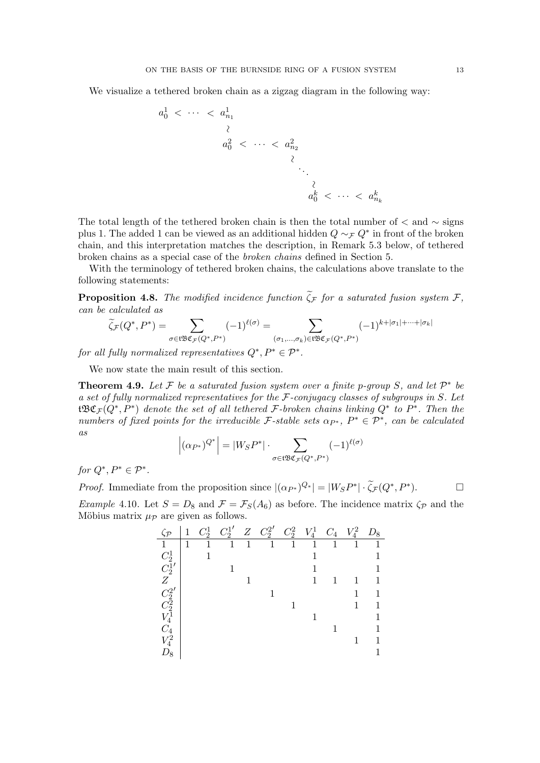We visualize a tethered broken chain as a zigzag diagram in the following way:

$$
a_0^1 < \cdots < a_{n_1}^1
$$
  
\n
$$
a_0^2 < \cdots < a_{n_2}^2
$$
  
\n
$$
\vdots
$$
  
\n
$$
a_0^k < \cdots < a_{n_k}^k
$$

The total length of the tethered broken chain is then the total number of  $\langle$  and  $\sim$  signs plus 1. The added 1 can be viewed as an additional hidden  $Q \sim_F Q^*$  in front of the broken chain, and this interpretation matches the description, in Remark [5.3](#page-16-1) below, of tethered broken chains as a special case of the *broken chains* defined in Section [5.](#page-14-0)

With the terminology of tethered broken chains, the calculations above translate to the following statements:

**Proposition 4.8.** The modified incidence function  $\zeta_{\mathcal{F}}$  for a saturated fusion system  $\mathcal{F}$ , *can be calculated as*

$$
\widetilde{\zeta}_{\mathcal{F}}(Q^*, P^*) = \sum_{\sigma \in \mathfrak{t} \mathfrak{B} \mathfrak{C}_{\mathcal{F}}(Q^*, P^*)} (-1)^{\ell(\sigma)} = \sum_{(\sigma_1, \dots, \sigma_k) \in \mathfrak{t} \mathfrak{B} \mathfrak{C}_{\mathcal{F}}(Q^*, P^*)} (-1)^{k + |\sigma_1| + \dots + |\sigma_k|}
$$

*for all fully normalized representatives*  $Q^*, P^* \in \mathcal{P}^*$ .

We now state the main result of this section.

<span id="page-12-0"></span>**Theorem 4.9.** Let  $\mathcal F$  be a saturated fusion system over a finite p-group  $S$ , and let  $\mathcal P^*$  be *a set of fully normalized representatives for the F-conjugacy classes of subgroups in S. Let*  $t\mathfrak{B}\mathfrak{C}_{\mathcal{F}}(Q^*,P^*)$  *denote the set of all tethered*  $\mathcal{F}\text{-}broken$  *chains linking*  $Q^*$  to  $P^*$ *. Then the numbers of fixed points for the irreducible*  $\mathcal{F}\text{-stable sets } \alpha_{P^*}, P^* \in \mathcal{P}^*$ , can be calculated *as*

$$
\left|(\alpha_{P^*})^{Q^*}\right| = |W_S P^*| \cdot \sum_{\sigma \in \mathfrak{tBC}_{\mathcal{F}}(Q^*, P^*)} (-1)^{\ell(\sigma)}
$$

*for*  $Q^*, P^* \in \mathcal{P}^*$ .

*Proof.* Immediate from the proposition since  $|({\alpha}_{P^*})^Q^*| = |W_S P^*| \cdot \zeta_{\mathcal{F}}(Q^*, P^*)$ .

<span id="page-12-1"></span>*Example* 4.10*.* Let  $S = D_8$  and  $\mathcal{F} = \mathcal{F}_S(A_6)$  as before. The incidence matrix  $\zeta_{\mathcal{P}}$  and the Möbius matrix  $\mu_{\mathcal{P}}$  are given as follows.

| $\zeta_{\mathcal{P}}$                                |   | $\mathcal{C}^1_2$ | $C_2^{1'}$ |   | $Z \quad C_2^{2'}$ | $\mathbb{C}^2_2$ | $V_4^1$ | $C_{4}$ | $\,V_4^2$ | $D_{8}$ |
|------------------------------------------------------|---|-------------------|------------|---|--------------------|------------------|---------|---------|-----------|---------|
| $\mathbf{1}$                                         | 1 | 1                 | 1          | 1 | 1                  | 1                | 1       | 1       | 1         |         |
| $\mathcal{C}^1_2$                                    |   |                   |            |   |                    |                  |         |         |           |         |
| $\tilde{C_2^1}'$                                     |   |                   |            |   |                    |                  |         |         |           |         |
| Ζ                                                    |   |                   |            |   |                    |                  | 1       |         |           |         |
| $\begin{array}{c} C_2^2 \ C_2^2 \ V_4^1 \end{array}$ |   |                   |            |   |                    |                  |         |         |           | 1       |
|                                                      |   |                   |            |   |                    |                  |         |         | 1         |         |
|                                                      |   |                   |            |   |                    |                  |         |         |           |         |
| $C_{4}$                                              |   |                   |            |   |                    |                  |         |         |           |         |
| $V_4^2$                                              |   |                   |            |   |                    |                  |         |         |           |         |
| $D_8$                                                |   |                   |            |   |                    |                  |         |         |           |         |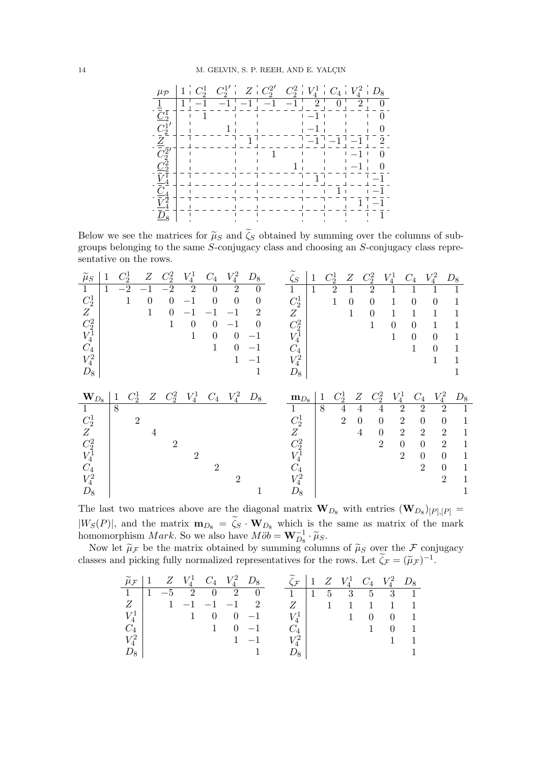

Below we see the matrices for  $\tilde{\mu}_S$  and  $\zeta_S$  obtained by summing over the columns of sub-<br>example blanched the same  $S$  continuous class and sharefully  $S$  continuous class approximate groups belonging to the same *S*-conjugacy class and choosing an *S*-conjugacy class representative on the rows.

| $\widetilde{\mu}_S$                                    | 1            | $C_2^1$ | Ζ              | $C_2^2$        | $V_4^1$        | $\mathcal{C}_4$ | $V_4^2$        | $D_8$            | $\widetilde{\zeta}_S$ | $\mathbf{1}$ | $C_2^1$                 | Ζ              | $\mathbb{C}^2_2$                 | $V_4^1$        | $C_4$           | $V_4^2$        | $D_8$                          |
|--------------------------------------------------------|--------------|---------|----------------|----------------|----------------|-----------------|----------------|------------------|-----------------------|--------------|-------------------------|----------------|----------------------------------|----------------|-----------------|----------------|--------------------------------|
| $\mathbf{1}$                                           | 1            | $-2$    | $-1$           | $-2$           | $\overline{2}$ | $\theta$        | $\overline{2}$ | $\overline{0}$   | 1                     | $\mathbf{1}$ | $\overline{2}$          | 1              | $\overline{2}$                   |                |                 |                |                                |
| $C_2^1$                                                |              | 1       | $\overline{0}$ | $\overline{0}$ | $-1$           | $\overline{0}$  | $\overline{0}$ | $\boldsymbol{0}$ | $C_2^1$               |              | 1                       | $\overline{0}$ | $\theta$                         | 1              | $\overline{0}$  | $\overline{0}$ | 1                              |
| Ζ                                                      |              |         | $\mathbf{1}$   | $\overline{0}$ | $-1$           | $-1$            | $-1$           | $\overline{2}$   | Ζ                     |              |                         | $\mathbf{1}$   | $\overline{0}$                   | 1              | 1               | 1              | 1                              |
| $\mathcal{C}^2_2 \\ V^1_4$                             |              |         |                | $\mathbf{1}$   | $\overline{0}$ | $\theta$        | $-1$           | $\Omega$         | $C_2^2$               |              |                         |                | $\mathbf{1}$                     | $\overline{0}$ | $\overline{0}$  | $\mathbf{1}$   | 1                              |
|                                                        |              |         |                |                | $\mathbf{1}$   | $\overline{0}$  | $\overline{0}$ | $-1$             | $V_4^{\bf \bar 1}$    |              |                         |                |                                  | $\mathbf{1}$   | $\overline{0}$  | $\overline{0}$ | 1                              |
| $C_4$                                                  |              |         |                |                |                | $\mathbf{1}$    | $\overline{0}$ | $-1$             | $C_4$                 |              |                         |                |                                  |                | 1               | $\overline{0}$ | 1                              |
| $V_4^2$                                                |              |         |                |                |                |                 | 1              | $^{-1}$          | $\,V_4^2$             |              |                         |                |                                  |                |                 | 1              | $\mathbf 1$                    |
| $D_8$                                                  |              |         |                |                |                |                 |                | $\mathbf 1$      | $D_8$                 |              |                         |                |                                  |                |                 |                |                                |
|                                                        |              |         |                |                |                |                 |                |                  |                       |              |                         |                |                                  |                |                 |                |                                |
|                                                        |              |         |                |                |                |                 |                |                  |                       |              |                         |                |                                  |                |                 |                |                                |
| $\mathbf{W}_{D8}$                                      | $\mathbf{1}$ | $C_2^1$ | Ζ              | $C_2^2$        | $V_4^1$        | $C_{4}$         | $V_4^2$        | $D_8$            | $\mathbf{m}_{D8}$     |              | $C_2^1$<br>$\mathbf{1}$ | Ζ              | $C_2^2$                          | $V_4^1$        | $\mathcal{C}_4$ | $V_4^2$        | $D_8$                          |
| $\mathbf{1}$                                           |              | 8       |                |                |                |                 |                |                  | $\mathbf{1}$          |              | 8                       | $\overline{4}$ | 4<br>$\overline{4}$              |                | $\overline{2}$  | $\overline{2}$ | $\overline{2}$<br>$\mathbf{1}$ |
|                                                        |              |         | $\overline{2}$ |                |                |                 |                |                  |                       |              |                         | $\overline{2}$ | $\overline{0}$<br>$\theta$       |                | $\overline{2}$  | $\overline{0}$ | $\theta$<br>1                  |
| $C_2^1$<br>Ζ                                           |              |         | 4              |                |                |                 |                |                  | $C_2^1$<br>Ζ          |              |                         |                | $\overline{4}$<br>$\overline{0}$ |                | $\overline{2}$  | $\overline{2}$ | $\overline{2}$<br>1            |
|                                                        |              |         |                | $\overline{2}$ |                |                 |                |                  |                       |              |                         |                | $\overline{2}$                   |                | $\theta$        | $\overline{0}$ | $\overline{2}$<br>1            |
|                                                        |              |         |                |                | $\overline{2}$ |                 |                |                  | $C_2^2$<br>$V_4^1$    |              |                         |                |                                  |                | $\overline{2}$  | $\overline{0}$ | $\overline{0}$<br>1            |
| $\begin{array}{c} C_2^2 \\ V_4^1 \end{array}$<br>$C_4$ |              |         |                |                |                | $\overline{2}$  |                |                  | $C_4$                 |              |                         |                |                                  |                |                 | $\overline{2}$ | $\overline{0}$<br>1            |
| $V_4^2$                                                |              |         |                |                |                |                 | $\overline{2}$ |                  | $V_4^2$               |              |                         |                |                                  |                |                 |                | $\overline{2}$<br>1            |

The last two matrices above are the diagonal matrix  $\mathbf{W}_{D_8}$  with entries  $(\mathbf{W}_{D_8})_{[P],[P]} =$  $|W_S(P)|$ , and the matrix  $m_{D_8} = \zeta_S \cdot W_{D_8}$  which is the same as matrix of the mark homomorphism *Mark*. So we also have  $M\ddot{o}b = \mathbf{W}_{D_8}^{-1} \cdot \widetilde{\mu}_S$ .

Now let  $\tilde{\mu}_F$  be the matrix obtained by summing columns of  $\tilde{\mu}_S$  over the F conjugacy classes and picking fully normalized representatives for the rows. Let  $\tilde{\zeta}_{\mathcal{F}} = (\tilde{\mu}_{\mathcal{F}})^{-1}$ .

|                 |  |                    | $\widetilde{\mu}_{\mathcal{F}}$   1 $Z$ $V_4^1$ $C_4$ $V_4^2$ $D_8$ | $\zeta_{\mathcal{F}}$   1 $Z$ $V_4^1$ $C_4$ $V_4^2$ $D_8$ |  |             |                                      |                     |             |
|-----------------|--|--------------------|---------------------------------------------------------------------|-----------------------------------------------------------|--|-------------|--------------------------------------|---------------------|-------------|
|                 |  |                    | $1 \t1 -5 \t2 0 \t2 0$                                              | $1 \t1 \t5 \t3 \t5 \t3 \t1$                               |  |             |                                      |                     |             |
|                 |  | $Z$   1 -1 -1 -1 2 |                                                                     |                                                           |  |             |                                      | Z 1 1 1 1 1 1       |             |
| $V_4^1$         |  |                    | $1 \quad 0 \quad 0 \quad -1$                                        |                                                           |  | $V^1_A$   1 |                                      | $0 \quad 0 \quad 1$ |             |
| $C_4$           |  |                    | $1 \quad 0 \quad -1$                                                | $C_{\scriptscriptstyle{A}}$                               |  |             | $\begin{array}{ccc} & 1 \end{array}$ |                     | $0 \quad 1$ |
| $V_4^{2}$ $\pm$ |  |                    | $1 -1$                                                              | $V^2_{\alpha}$                                            |  |             |                                      |                     |             |
| $D_8$           |  |                    |                                                                     |                                                           |  |             |                                      |                     |             |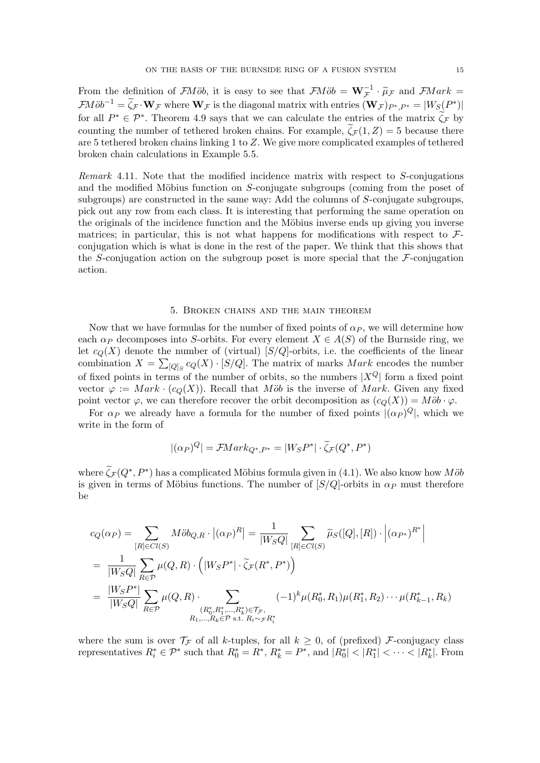From the definition of *FMob*, it is easy to see that  $\mathcal{F}M\ddot{o}b = \mathbf{W}_{\mathcal{F}}^{-1} \cdot \widetilde{\mu}_{\mathcal{F}}$  and  $\mathcal{F}Mark = \mathcal{F}(\mathcal{F})$  $\mathcal{F}M\ddot{o}b^{-1} = \widetilde{\zeta}_{\mathcal{F}} \cdot \mathbf{W}_{\mathcal{F}}$  where  $\mathbf{W}_{\mathcal{F}}$  is the diagonal matrix with entries  $(\mathbf{W}_{\mathcal{F}})_{P^*,P^*} = |W_{S}(P^*)|$ for all  $P^* \in \mathcal{P}^*$ . Theorem [4.9](#page-12-0) says that we can calculate the entries of the matrix  $\zeta_{\mathcal{F}}$  by counting the number of tethered broken chains. For example,  $\zeta_{\mathcal{F}}(1, Z) = 5$  because there are 5 tethered broken chains linking 1 to *Z*. We give more complicated examples of tethered broken chain calculations in Example [5.5.](#page-16-0)

*Remark* 4.11*.* Note that the modified incidence matrix with respect to *S*-conjugations and the modified Möbius function on *S*-conjugate subgroups (coming from the poset of subgroups) are constructed in the same way: Add the columns of *S*-conjugate subgroups, pick out any row from each class. It is interesting that performing the same operation on the originals of the incidence function and the Möbius inverse ends up giving you inverse matrices; in particular, this is not what happens for modifications with respect to *F*conjugation which is what is done in the rest of the paper. We think that this shows that the *S*-conjugation action on the subgroup poset is more special that the *F*-conjugation action.

#### 5. Broken chains and the main theorem

<span id="page-14-0"></span>Now that we have formulas for the number of fixed points of  $\alpha_P$ , we will determine how each  $\alpha_P$  decomposes into *S*-orbits. For every element  $X \in A(S)$  of the Burnside ring, we let  $c_Q(X)$  denote the number of (virtual)  $|S/Q|$ -orbits, i.e. the coefficients of the linear combination  $X = \sum_{[Q]_S} c_Q(X) \cdot [S/Q]$ . The matrix of marks *Mark* encodes the number of fixed points in terms of the number of orbits, so the numbers  $|X^Q|$  form a fixed point vector  $\varphi := Mark \cdot (c_O(X))$ . Recall that *Mob* is the inverse of *Mark*. Given any fixed point vector  $\varphi$ , we can therefore recover the orbit decomposition as  $(c_Q(X)) = M\ddot{o}b \cdot \varphi$ .

For  $\alpha_P$  we already have a formula for the number of fixed points  $|(\alpha_P)^Q|$ , which we write in the form of

$$
|(\alpha_P)^Q| = \mathcal{F}Mark_{Q^*,P^*} = |W_S P^*| \cdot \widetilde{\zeta}_{\mathcal{F}}(Q^*,P^*)
$$

where  $\zeta_{\mathcal{F}}(Q^*, P^*)$  has a complicated Möbius formula given in [\(4.1\)](#page-11-1). We also know how *Möb* is given in terms of Möbius functions. The number of  $[S/Q]$ -orbits in  $\alpha_P$  must therefore be

$$
c_Q(\alpha_P) = \sum_{[R] \in Cl(S)} M \ddot{o} b_{Q,R} \cdot |(\alpha_P)^R| = \frac{1}{|W_S Q|} \sum_{[R] \in Cl(S)} \widetilde{\mu}_S([Q], [R]) \cdot |(\alpha_{P^*})^{R^*}|
$$
  
= 
$$
\frac{1}{|W_S Q|} \sum_{R \in \mathcal{P}} \mu(Q, R) \cdot (|W_S P^*| \cdot \widetilde{\zeta}_{\mathcal{F}}(R^*, P^*))
$$
  
= 
$$
\frac{|W_S P^*|}{|W_S Q|} \sum_{R \in \mathcal{P}} \mu(Q, R) \cdot \sum_{\substack{(R_0^*, R_1^*, \dots, R_k^*) \in \mathcal{T}_{\mathcal{F}}}} (-1)^k \mu(R_0^*, R_1) \mu(R_1^*, R_2) \cdots \mu(R_{k-1}^*, R_k)
$$

where the sum is over  $\mathcal{T}_{\mathcal{F}}$  of all *k*-tuples, for all  $k \geq 0$ , of (prefixed) *F*-conjugacy class representatives  $R_i^* \in \mathcal{P}^*$  such that  $R_0^* = R^*$ ,  $R_k^* = P^*$ , and  $|R_0^*| < |R_1^*| < \cdots < |R_k^*|$ . From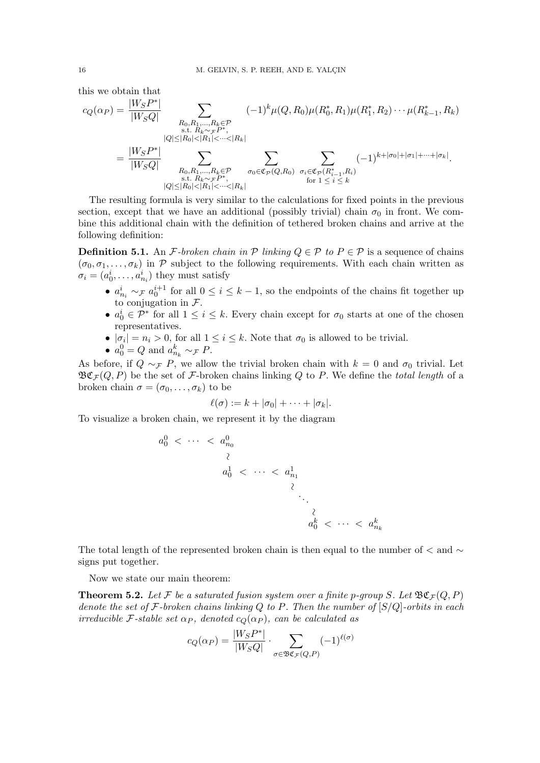this we obtain that

$$
c_Q(\alpha_P) = \frac{|W_S P^*|}{|W_S Q|} \sum_{\substack{R_0, R_1, \dots, R_k \in \mathcal{P} \\ \text{s.t. } R_k \sim \mathcal{F}P^*, \\ |Q| \le |R_0| < |R_1| < \dots < |R_k|}} (-1)^k \mu(Q, R_0) \mu(R_0^*, R_1) \mu(R_1^*, R_2) \cdots \mu(R_{k-1}, R_k)
$$
\n
$$
= \frac{|W_S P^*|}{|W_S Q|} \sum_{\substack{R_0, R_1, \dots, R_k \in \mathcal{P} \\ \text{s.t. } R_k \sim \mathcal{F}P^*, \\ |Q| \le |R_0| < |R_1| < \dots < |R_k|}} \sum_{\substack{\sigma_0 \in \mathfrak{C}_{\mathcal{P}}(Q, R_0) \\ \text{for } 1 \le i \le k}} (-1)^{k + |\sigma_0| + |\sigma_1| + \dots + |\sigma_k|}.
$$

The resulting formula is very similar to the calculations for fixed points in the previous section, except that we have an additional (possibly trivial) chain  $\sigma_0$  in front. We combine this additional chain with the definition of tethered broken chains and arrive at the following definition:

<span id="page-15-0"></span>**Definition 5.1.** An *F*-broken chain in  $P$  linking  $Q \in P$  to  $P \in P$  is a sequence of chains  $(\sigma_0, \sigma_1, \ldots, \sigma_k)$  in P subject to the following requirements. With each chain written as  $\sigma_i = (a_0^i, \dots, a_{n_i}^i)$  they must satisfy

- $a_{n_i}^i \sim_{\mathcal{F}} a_0^{i+1}$  for all  $0 \leq i \leq k-1$ , so the endpoints of the chains fit together up to conjugation in *F*.
- $a_0^i \in \mathcal{P}^*$  for all  $1 \leq i \leq k$ . Every chain except for  $\sigma_0$  starts at one of the chosen representatives.
- $|\sigma_i| = n_i > 0$ , for all  $1 \leq i \leq k$ . Note that  $\sigma_0$  is allowed to be trivial.
- $a_0^0 = Q$  and  $a_{n_k}^k \sim_{\mathcal{F}} P$ .

As before, if  $Q \sim_{\mathcal{F}} P$ , we allow the trivial broken chain with  $k = 0$  and  $\sigma_0$  trivial. Let  $\mathfrak{B}\mathfrak{C}_{\mathcal{F}}(Q,P)$  be the set of *F*-broken chains linking *Q* to *P*. We define the *total length* of a broken chain  $\sigma = (\sigma_0, \ldots, \sigma_k)$  to be

$$
\ell(\sigma) := k + |\sigma_0| + \cdots + |\sigma_k|.
$$

To visualize a broken chain, we represent it by the diagram

$$
a_0^0 < \cdots < a_{n_0}^0
$$
\n
$$
a_0^1 < \cdots < a_{n_1}^1
$$
\n
$$
\begin{array}{ccc}\n\lambda & & \\
\lambda & & \\
\lambda & & \\
\lambda & & \\
a_0^k < \cdots < a_{n_k}^k\n\end{array}
$$

The total length of the represented broken chain is then equal to the number of  $\lt$  and  $\lt$ signs put together.

Now we state our main theorem:

<span id="page-15-1"></span>**Theorem 5.2.** Let F be a saturated fusion system over a finite p-group S. Let  $\mathfrak{BC}_{\mathcal{F}}(Q, P)$ *denote the set of F-broken chains linking Q to P. Then the number of* [*S/Q*]*-orbits in each irreducible*  $\mathcal{F}\text{-stable set } \alpha_P$ , denoted  $c_Q(\alpha_P)$ , can be calculated as

$$
c_Q(\alpha_P) = \frac{|W_S P^*|}{|W_S Q|} \cdot \sum_{\sigma \in \mathfrak{BC}_F(Q, P)} (-1)^{\ell(\sigma)}
$$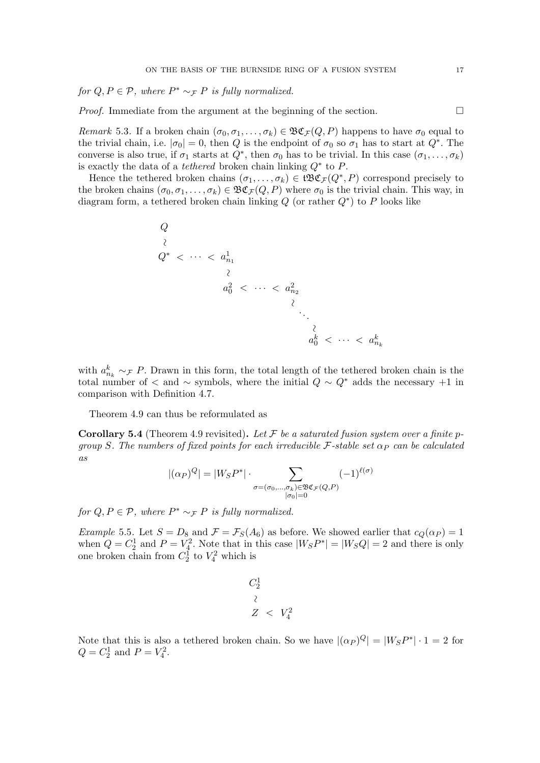*for*  $Q, P \in \mathcal{P}$ *, where*  $P^* \sim_{\mathcal{F}} P$  *is fully normalized.* 

*Proof.* Immediate from the argument at the beginning of the section.  $\Box$ 

<span id="page-16-1"></span>*Remark* 5.3. If a broken chain  $(\sigma_0, \sigma_1, \ldots, \sigma_k) \in \mathfrak{B}\mathfrak{C}_{\mathcal{F}}(Q, P)$  happens to have  $\sigma_0$  equal to the trivial chain, i.e.  $|\sigma_0|=0$ , then *Q* is the endpoint of  $\sigma_0$  so  $\sigma_1$  has to start at  $Q^*$ . The converse is also true, if  $\sigma_1$  starts at  $Q^*$ , then  $\sigma_0$  has to be trivial. In this case  $(\sigma_1, \ldots, \sigma_k)$ is exactly the data of a *tethered* broken chain linking  $Q^*$  to  $P$ .

Hence the tethered broken chains  $(\sigma_1, \ldots, \sigma_k) \in \mathfrak{tB}\mathfrak{C}_{\mathcal{F}}(Q^*, P)$  correspond precisely to the broken chains  $(\sigma_0, \sigma_1, \ldots, \sigma_k) \in \mathfrak{B}\mathfrak{C}_{\mathcal{F}}(Q, P)$  where  $\sigma_0$  is the trivial chain. This way, in diagram form, a tethered broken chain linking  $Q$  (or rather  $Q^*$ ) to  $P$  looks like

$$
Q
$$
\n
$$
Q^* < \cdots < a_{n_1}^1
$$
\n
$$
a_0^2 < \cdots < a_{n_2}^2
$$
\n
$$
\vdots
$$
\n
$$
a_0^k < \cdots < a_{n_k}^k
$$

with  $a_{n_k}^k \sim_F P$ . Drawn in this form, the total length of the tethered broken chain is the total number of  $\lt$  and  $\sim$  symbols, where the initial  $Q \sim Q^*$  adds the necessary +1 in comparison with Definition [4.7.](#page-11-0)

Theorem [4.9](#page-12-0) can thus be reformulated as

Corollary 5.4 (Theorem [4.9](#page-12-0) revisited). *Let F be a saturated fusion system over a finite pgroup S. The numbers of fixed points for each irreducible*  $\mathcal{F}$ -stable set  $\alpha_P$  *can be calculated as*

$$
|(\alpha_P)^Q| = |W_S P^*| \cdot \sum_{\substack{\sigma = (\sigma_0, \dots, \sigma_k) \in \mathfrak{B} \mathfrak{C}_{\mathcal{F}}(Q, P) \\ |\sigma_0| = 0}} (-1)^{\ell(\sigma)}
$$

*for*  $Q, P \in \mathcal{P}$ *, where*  $P^* \sim_F P$  *is fully normalized.* 

<span id="page-16-0"></span>*Example* 5.5. Let  $S = D_8$  and  $\mathcal{F} = \mathcal{F}_S(A_6)$  as before. We showed earlier that  $c_Q(\alpha_P) = 1$ when  $Q = C_2^1$  and  $P = V_2^2$ . Note that in this case  $|W_S P^*| = |W_S Q| = 2$  and there is only one broken chain from  $C_2^1$  to  $V_4^2$  which is

$$
C_2^1
$$
  

$$
\begin{array}{c} \n\lambda \\
Z \n\end{array} < V_4^2
$$

Note that this is also a tethered broken chain. So we have  $|(\alpha_P)^Q| = |W_S P^*| \cdot 1 = 2$  for  $Q = C_2^1$  and  $P = V_4^2$ .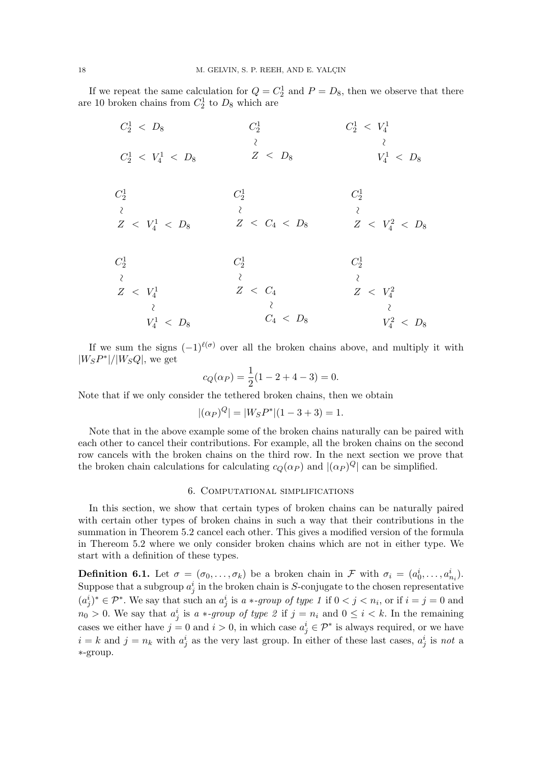If we repeat the same calculation for  $Q = C_2^1$  and  $P = D_8$ , then we observe that there are 10 broken chains from  $C_2^1$  to  $D_8$  which are

| $C_2^1$                     | $C_2^1 \; < \; V_4^1$                      |
|-----------------------------|--------------------------------------------|
|                             |                                            |
|                             | $V_4^1 \; < \; D_8$                        |
|                             | $C_2^1$                                    |
|                             |                                            |
| $Z \, < \, C_4 \, < \, D_8$ | $Z \; < \; V_4^2 \; < \; D_8$              |
| $C_2^1$                     | $C_2^1$                                    |
|                             |                                            |
|                             | $Z \; < \; V_4^2$                          |
|                             |                                            |
| $C_4 \, < \, D_8$           | $V_4^2 \; < \; D_8$                        |
|                             | $Z \, < \, D_8$<br>$C_2^1$<br>$Z \leq C_4$ |

If we sum the signs  $(-1)^{\ell(\sigma)}$  over all the broken chains above, and multiply it with  $|W_{S}P^*|/|W_{S}Q|$ , we get

$$
c_Q(\alpha_P) = \frac{1}{2}(1 - 2 + 4 - 3) = 0.
$$

Note that if we only consider the tethered broken chains, then we obtain

$$
|(\alpha_P)^Q| = |W_S P^*|(1 - 3 + 3) = 1.
$$

Note that in the above example some of the broken chains naturally can be paired with each other to cancel their contributions. For example, all the broken chains on the second row cancels with the broken chains on the third row. In the next section we prove that the broken chain calculations for calculating  $c_Q(\alpha_P)$  and  $|(\alpha_P)^Q|$  can be simplified.

### 6. Computational simplifications

<span id="page-17-0"></span>In this section, we show that certain types of broken chains can be naturally paired with certain other types of broken chains in such a way that their contributions in the summation in Theorem [5.2](#page-15-1) cancel each other. This gives a modified version of the formula in Thereom [5.2](#page-15-1) where we only consider broken chains which are not in either type. We start with a definition of these types.

**Definition 6.1.** Let  $\sigma = (\sigma_0, \ldots, \sigma_k)$  be a broken chain in *F* with  $\sigma_i = (a_0^i, \ldots, a_{n_i}^i)$ . Suppose that a subgroup  $a_j^i$  in the broken chain is *S*-conjugate to the chosen representative  $(a_j^i)^* \in \mathcal{P}^*$ . We say that such an  $a_j^i$  is  $a * \text{-}group \text{ of type } 1 \text{ if } 0 < j < n_i$ , or if  $i = j = 0$  and  $n_0 > 0$ . We say that  $a_j^i$  is *a* \*-*group of type 2* if  $j = n_i$  and  $0 \le i \le k$ . In the remaining cases we either have  $j = 0$  and  $i > 0$ , in which case  $a_j^i \in \mathcal{P}^*$  is always required, or we have  $i = k$  and  $j = n_k$  with  $a_j^i$  as the very last group. In either of these last cases,  $a_j^i$  is *not* a ⇤-group.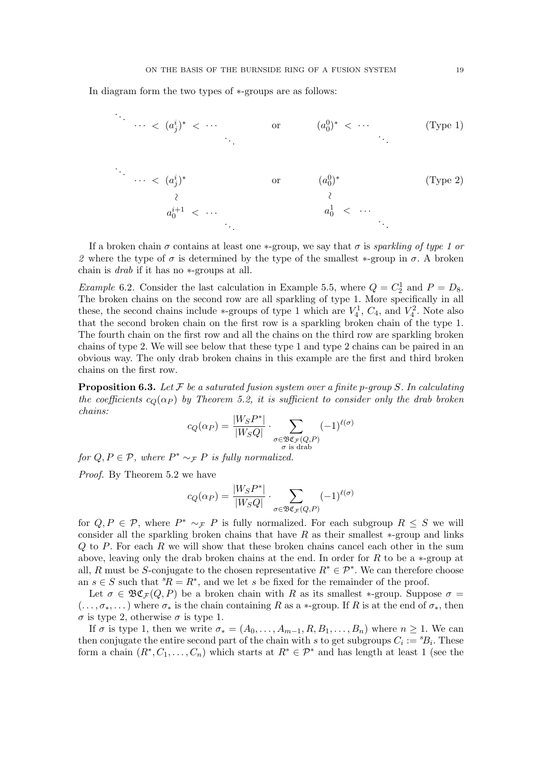In diagram form the two types of  $*$ -groups are as follows:



If a broken chain  $\sigma$  contains at least one  $*$ -group, we say that  $\sigma$  is *sparkling of type 1 or* 2 where the type of  $\sigma$  is determined by the type of the smallest  $*$ -group in  $\sigma$ . A broken chain is *drab* if it has no  $*$ -groups at all.

*Example* 6.2. Consider the last calculation in Example [5.5,](#page-16-0) where  $Q = C_2^1$  and  $P = D_8$ . The broken chains on the second row are all sparkling of type 1. More specifically in all these, the second chains include  $*$ -groups of type 1 which are  $V_4^1$ ,  $C_4$ , and  $V_4^2$ . Note also that the second broken chain on the first row is a sparkling broken chain of the type 1. The fourth chain on the first row and all the chains on the third row are sparkling broken chains of type 2. We will see below that these type 1 and type 2 chains can be paired in an obvious way. The only drab broken chains in this example are the first and third broken chains on the first row.

<span id="page-18-0"></span>Proposition 6.3. *Let F be a saturated fusion system over a finite p-group S. In calculating the coefficients*  $c_0(\alpha_P)$  *by Theorem [5.2,](#page-15-1) it is sufficient to consider only the drab broken chains:*

$$
c_Q(\alpha_P) = \frac{|W_S P^*|}{|W_S Q|} \cdot \sum_{\substack{\sigma \in \mathfrak{B}_{\mathfrak{C}_F(Q,P)} \\ \sigma \text{ is drab}}} (-1)^{\ell(\sigma)}
$$

*for*  $Q, P \in \mathcal{P}$ *, where*  $P^* \sim_{\mathcal{F}} P$  *is fully normalized.* 

*Proof.* By Theorem [5.2](#page-15-1) we have

$$
c_Q(\alpha_P) = \frac{|W_S P^*|}{|W_S Q|} \cdot \sum_{\sigma \in \mathfrak{BC}_F(Q, P)} (-1)^{\ell(\sigma)}
$$

for  $Q, P \in \mathcal{P}$ , where  $P^* \sim_{\mathcal{F}} P$  is fully normalized. For each subgroup  $R \leq S$  we will consider all the sparkling broken chains that have  $R$  as their smallest  $*$ -group and links *Q* to *P*. For each *R* we will show that these broken chains cancel each other in the sum above, leaving only the drab broken chains at the end. In order for  $R$  to be a  $*$ -group at all, *R* must be *S*-conjugate to the chosen representative  $R^* \in \mathcal{P}^*$ . We can therefore choose an  $s \in S$  such that  ${}^s R = R^*$ , and we let *s* be fixed for the remainder of the proof.

Let  $\sigma \in \mathfrak{B}\mathfrak{C}_{\mathcal{F}}(Q, P)$  be a broken chain with *R* as its smallest \*-group. Suppose  $\sigma =$  $(..., \sigma_*,...')$  where  $\sigma_*$  is the chain containing R as a  $*$ -group. If R is at the end of  $\sigma_*$ , then  $\sigma$  is type 2, otherwise  $\sigma$  is type 1.

If  $\sigma$  is type 1, then we write  $\sigma_* = (A_0, \ldots, A_{m-1}, R, B_1, \ldots, B_n)$  where  $n \geq 1$ . We can then conjugate the entire second part of the chain with *s* to get subgroups  $C_i := {}^s B_i$ . These form a chain  $(R^*, C_1, \ldots, C_n)$  which starts at  $R^* \in \mathcal{P}^*$  and has length at least 1 (see the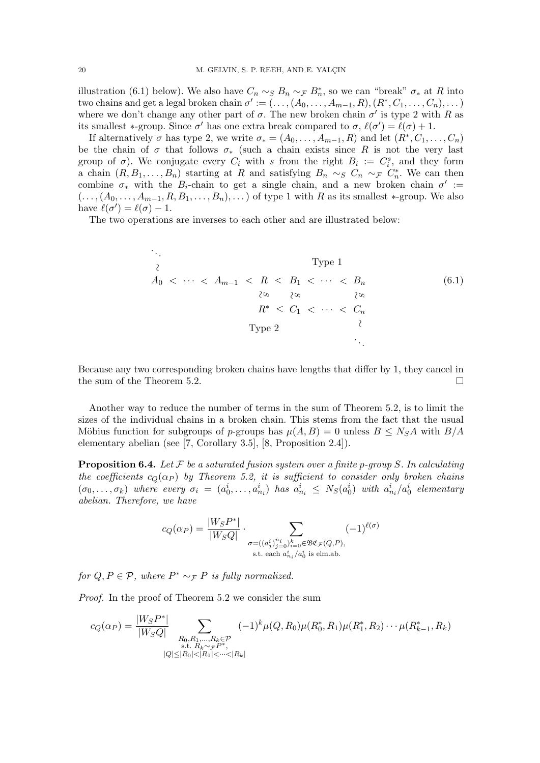illustration [\(6.1\)](#page-19-0) below). We also have  $C_n \sim_S B_n \sim_F B_n^*$ , so we can "break"  $\sigma_*$  at *R* into two chains and get a legal broken chain  $\sigma' := (\ldots, (A_0, \ldots, A_{m-1}, R), (R^*, C_1, \ldots, C_n), \ldots)$ where we don't change any other part of  $\sigma$ . The new broken chain  $\sigma'$  is type 2 with *R* as its smallest \*-group. Since  $\sigma'$  has one extra break compared to  $\sigma$ ,  $\ell(\sigma') = \ell(\sigma) + 1$ .

If alternatively  $\sigma$  has type 2, we write  $\sigma_* = (A_0, \ldots, A_{m-1}, R)$  and let  $(R^*, C_1, \ldots, C_n)$ be the chain of  $\sigma$  that follows  $\sigma_*$  (such a chain exists since R is not the very last group of  $\sigma$ ). We conjugate every  $C_i$  with *s* from the right  $B_i := C_i^s$ , and they form a chain  $(R, B_1, \ldots, B_n)$  starting at *R* and satisfying  $B_n \sim_S C_n \sim_F C_n^*$ . We can then combine  $\sigma_*$  with the  $B_i$ -chain to get a single chain, and a new broken chain  $\sigma' :=$  $(..., (A_0,...,A_{m-1},R,B_1,...,B_n),...)$  of type 1 with *R* as its smallest  $*$ -group. We also have  $\ell(\sigma') = \ell(\sigma) - 1$ .

The two operations are inverses to each other and are illustrated below:

<span id="page-19-0"></span>
$$
\therefore \qquad \qquad \text{Type 1}
$$
\n
$$
A_0 < \cdots < A_{m-1} < R < B_1 < \cdots < B_n \qquad \qquad (6.1)
$$
\n
$$
R^* < C_1 < \cdots < C_n \qquad \qquad \text{Type 2}
$$
\n
$$
\therefore \qquad \qquad \text{Type 2}
$$
\n
$$
\therefore \qquad \qquad \text{Type 3}
$$

Because any two corresponding broken chains have lengths that differ by 1, they cancel in the sum of the Theorem [5.2.](#page-15-1)  $\Box$ 

Another way to reduce the number of terms in the sum of Theorem [5.2,](#page-15-1) is to limit the sizes of the individual chains in a broken chain. This stems from the fact that the usual Möbius function for subgroups of *p*-groups has  $\mu(A, B) = 0$  unless  $B \le N_S A$  with  $B/A$ elementary abelian (see [\[7,](#page-24-10) Corollary 3.5], [\[8,](#page-24-11) Proposition 2.4]).

<span id="page-19-1"></span>**Proposition 6.4.** Let  $\mathcal F$  be a saturated fusion system over a finite p-group  $S$ . In calculating *the coefficients*  $c_Q(\alpha_P)$  *by Theorem [5.2,](#page-15-1) it is sufficient to consider only broken chains*  $(\sigma_0,\ldots,\sigma_k)$  where every  $\sigma_i = (a_0^i,\ldots,a_{n_i}^i)$  has  $a_{n_i}^i \leq N_S(a_0^i)$  with  $a_{n_i}^i/a_0^i$  elementary *abelian. Therefore, we have*

$$
c_Q(\alpha_P) = \frac{|W_S P^*|}{|W_S Q|} \cdot \sum_{\substack{\sigma = ((a_j^i)_{j=0}^{n_i})_{i=0}^k \in \mathfrak{B} \mathfrak{C}_{\mathcal{F}}(Q, P),\\ \text{s.t. each } a_{n_i}^i / a_0^i \text{ is elm.ab.}}} (-1)^{\ell(\sigma)}
$$

*for*  $Q, P \in \mathcal{P}$ *, where*  $P^* \sim_{\mathcal{F}} P$  *is fully normalized.* 

*Proof.* In the proof of Theorem [5.2](#page-15-1) we consider the sum

$$
c_Q(\alpha_P) = \frac{|W_S P^*|}{|W_S Q|} \sum_{\substack{R_0, R_1, \dots, R_k \in \mathcal{P} \\ \text{s.t. } R_k \sim \tau P^*, \\ |Q| \le |R_0| < |R_1| < \dots < |R_k|}} (-1)^k \mu(Q, R_0) \mu(R_0^*, R_1) \mu(R_1^*, R_2) \cdots \mu(R_{k-1}^*, R_k)
$$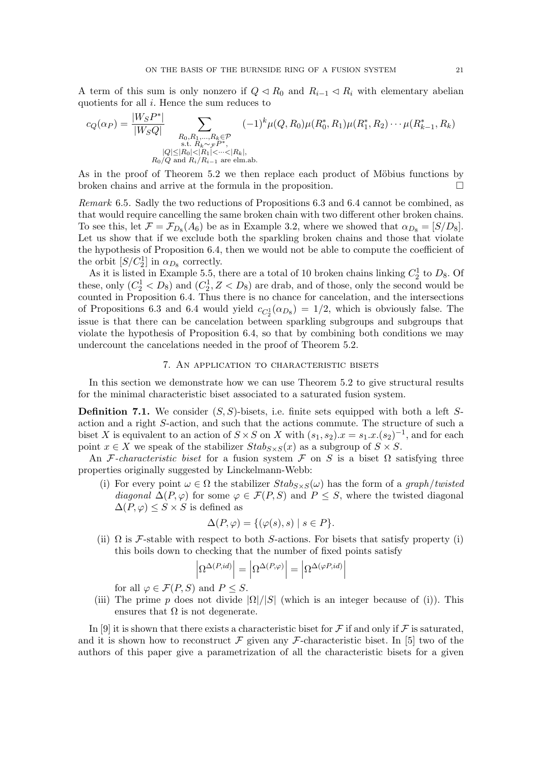A term of this sum is only nonzero if  $Q \triangleleft R_0$  and  $R_{i-1} \triangleleft R_i$  with elementary abelian quotients for all *i*. Hence the sum reduces to

$$
c_Q(\alpha_P) = \frac{|W_S P^*|}{|W_S Q|} \sum_{\substack{R_0, R_1, \dots, R_k \in \mathcal{P} \\ \text{s.t. } R_k \sim_{\mathcal{F}} P^*, \\ |Q| \le |R_0| < |R_1| < \dots < |R_k|, \\ R_0/Q \text{ and } R_i/R_{i-1} \text{ are elm.ab.}}} (-1)^k \mu(Q, R_0) \mu(R_0^*, R_1) \mu(R_1^*, R_2) \cdots \mu(R_{k-1}^*, R_k)
$$

As in the proof of Theorem [5.2](#page-15-1) we then replace each product of Möbius functions by broken chains and arrive at the formula in the proposition.  $\Box$ 

*Remark* 6.5*.* Sadly the two reductions of Propositions [6.3](#page-18-0) and [6.4](#page-19-1) cannot be combined, as that would require cancelling the same broken chain with two different other broken chains. To see this, let  $\mathcal{F} = \mathcal{F}_{D_8}(A_6)$  be as in Example 3.2, where we showed that  $\alpha_{D_8} = [S/D_8]$ . Let us show that if we exclude both the sparkling broken chains and those that violate the hypothesis of Proposition [6.4,](#page-19-1) then we would not be able to compute the coefficient of the orbit  $[S/C_2^1]$  in  $\alpha_{D_8}$  correctly.

As it is listed in Example [5.5,](#page-16-0) there are a total of 10 broken chains linking  $C_2^1$  to  $D_8$ . Of these, only  $(C_2^1 < D_8)$  and  $(C_2^1, Z < D_8)$  are drab, and of those, only the second would be counted in Proposition [6.4.](#page-19-1) Thus there is no chance for cancelation, and the intersections of Propositions [6.3](#page-18-0) and [6.4](#page-19-1) would yield  $c_{C_2^1}(\alpha_{D_8}) = 1/2$ , which is obviously false. The issue is that there can be cancelation between sparkling subgroups and subgroups that violate the hypothesis of Proposition [6.4,](#page-19-1) so that by combining both conditions we may undercount the cancelations needed in the proof of Theorem 5.2.

### 7. An application to characteristic bisets

<span id="page-20-0"></span>In this section we demonstrate how we can use Theorem [5.2](#page-15-1) to give structural results for the minimal characteristic biset associated to a saturated fusion system.

<span id="page-20-1"></span>Definition 7.1. We consider (*S, S*)-bisets, i.e. finite sets equipped with both a left *S*action and a right *S*-action, and such that the actions commute. The structure of such a biset *X* is equivalent to an action of  $S \times S$  on *X* with  $(s_1, s_2)$ .  $x = s_1 \cdot x \cdot (s_2)^{-1}$ , and for each point  $x \in X$  we speak of the stabilizer  $Stab_{S \times S}(x)$  as a subgroup of  $S \times S$ .

An *F*-characteristic biset for a fusion system *F* on *S* is a biset  $\Omega$  satisfying three properties originally suggested by Linckelmann-Webb:

<span id="page-20-2"></span>(i) For every point  $\omega \in \Omega$  the stabilizer  $Stab_{S \times S}(\omega)$  has the form of a *graph*/*twisted diagonal*  $\Delta(P, \varphi)$  for some  $\varphi \in \mathcal{F}(P, S)$  and  $P \leq S$ , where the twisted diagonal  $\Delta(P, \varphi) \leq S \times S$  is defined as

$$
\Delta(P,\varphi) = \{ (\varphi(s),s) \mid s \in P \}.
$$

(ii)  $\Omega$  is *F*-stable with respect to both *S*-actions. For bisets that satisfy property [\(i\)](#page-20-2) this boils down to checking that the number of fixed points satisfy

$$
\left|\Omega^{\Delta(P,id)}\right|=\left|\Omega^{\Delta(P,\varphi)}\right|=\left|\Omega^{\Delta(\varphi P,id)}\right|
$$

for all  $\varphi \in \mathcal{F}(P, S)$  and  $P \leq S$ .

(iii) The prime *p* does not divide  $|\Omega|/|S|$  (which is an integer because of [\(i\)\)](#page-20-2). This ensures that  $\Omega$  is not degenerate.

In [\[9\]](#page-24-12) it is shown that there exists a characteristic biset for  $\mathcal F$  if and only if  $\mathcal F$  is saturated, and it is shown how to reconstruct  $\mathcal F$  given any  $\mathcal F$ -characteristic biset. In [\[5\]](#page-24-2) two of the authors of this paper give a parametrization of all the characteristic bisets for a given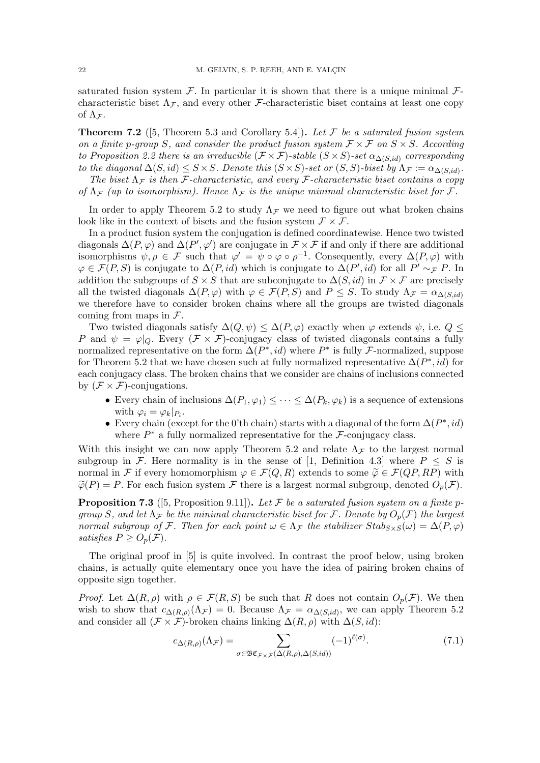saturated fusion system  $\mathcal F$ . In particular it is shown that there is a unique minimal  $\mathcal F$ characteristic biset  $\Lambda$ *F*, and every other *F*-characteristic biset contains at least one copy of  $\Lambda$ *<sub>F</sub>*.

Theorem 7.2 ([\[5,](#page-24-2) Theorem 5.3 and Corollary 5.4]). *Let F be a saturated fusion system on a finite p*-group *S, and consider the product fusion system*  $\mathcal{F} \times \mathcal{F}$  *on*  $S \times S$ *. According to Proposition* [2.2](#page-4-1) *there is an irreducible*  $(\mathcal{F} \times \mathcal{F})$ -stable  $(S \times S)$ -set  $\alpha_{\Lambda(S, id)}$  corresponding *to the diagonal*  $\Delta(S, id) \leq S \times S$ *. Denote this*  $(S \times S)$ -set or  $(S, S)$ -biset by  $\Lambda_F := \alpha_{\Delta(S, id)}$ .

The biset  $\Lambda_F$  is then *F*-characteristic, and every *F*-characteristic biset contains a copy *of*  $\Lambda$ <sub>*F*</sub> (*up to isomorphism*). Hence  $\Lambda$ <sub>*F*</sub> *is the unique minimal characteristic biset for F*.

In order to apply Theorem [5.2](#page-15-1) to study  $\Lambda$ <sub>*F*</sub> we need to figure out what broken chains look like in the context of bisets and the fusion system  $\mathcal{F} \times \mathcal{F}$ .

In a product fusion system the conjugation is defined coordinatewise. Hence two twisted diagonals  $\Delta(P, \varphi)$  and  $\Delta(P', \varphi')$  are conjugate in  $\mathcal{F} \times \mathcal{F}$  if and only if there are additional isomorphisms  $\psi, \rho \in \mathcal{F}$  such that  $\varphi' = \psi \circ \varphi \circ \rho^{-1}$ . Consequently, every  $\Delta(P, \varphi)$  with  $\varphi \in \mathcal{F}(P, S)$  is conjugate to  $\Delta(P, id)$  which is conjugate to  $\Delta(P', id)$  for all  $P' \sim_{\mathcal{F}} P$ . In addition the subgroups of  $S \times S$  that are subconjugate to  $\Delta(S, id)$  in  $\mathcal{F} \times \mathcal{F}$  are precisely all the twisted diagonals  $\Delta(P, \varphi)$  with  $\varphi \in \mathcal{F}(P, S)$  and  $P \leq S$ . To study  $\Lambda_{\mathcal{F}} = \alpha_{\Delta(S, id)}$ we therefore have to consider broken chains where all the groups are twisted diagonals coming from maps in *F*.

Two twisted diagonals satisfy  $\Delta(Q, \psi) \leq \Delta(P, \varphi)$  exactly when  $\varphi$  extends  $\psi$ , i.e.  $Q \leq$ *P* and  $\psi = \varphi|_Q$ . Every  $(\mathcal{F} \times \mathcal{F})$ -conjugacy class of twisted diagonals contains a fully normalized representative on the form  $\Delta(P^*, id)$  where  $P^*$  is fully *F*-normalized, suppose for Theorem [5.2](#page-15-1) that we have chosen such at fully normalized representative  $\Delta(P^*, id)$  for each conjugacy class. The broken chains that we consider are chains of inclusions connected by  $(\mathcal{F} \times \mathcal{F})$ -conjugations.

- Every chain of inclusions  $\Delta(P_1, \varphi_1) \leq \cdots \leq \Delta(P_k, \varphi_k)$  is a sequence of extensions with  $\varphi_i = \varphi_k|_{P_i}$ .
- Every chain (except for the 0'th chain) starts with a diagonal of the form  $\Delta(P^*, id)$ where  $P^*$  a fully normalized representative for the  $\mathcal{F}$ -conjugacy class.

With this insight we can now apply Theorem [5.2](#page-15-1) and relate  $\Lambda$ <sub>*F*</sub> to the largest normal subgroup in *F*. Here normality is in the sense of [\[1,](#page-24-7) Definition 4.3] where  $P \leq S$  is normal in F if every homomorphism  $\varphi \in \mathcal{F}(Q, R)$  extends to some  $\widetilde{\varphi} \in \mathcal{F}(QP, RP)$  with  $\widetilde{\varphi}(P) = P$ . For each fusion system *F* there is a largest normal subgroup, denoted  $O_p(\mathcal{F})$ .

<span id="page-21-0"></span>**Proposition 7.3** ([\[5,](#page-24-2) Proposition 9.11]). Let  $\mathcal F$  be a saturated fusion system on a finite p*group S, and let*  $\Lambda_F$  *be the minimal characteristic biset for F. Denote by*  $O_p(F)$  *the largest normal subgroup of*  $\mathcal{F}$ *. Then for each point*  $\omega \in \Lambda_{\mathcal{F}}$  *the stabilizer*  $Stab_{S \times S}(\omega) = \Delta(P, \varphi)$ *satisfies*  $P \geq O_p(\mathcal{F})$ .

The original proof in [\[5\]](#page-24-2) is quite involved. In contrast the proof below, using broken chains, is actually quite elementary once you have the idea of pairing broken chains of opposite sign together.

*Proof.* Let  $\Delta(R, \rho)$  with  $\rho \in \mathcal{F}(R, S)$  be such that *R* does not contain  $O_p(\mathcal{F})$ . We then wish to show that  $c_{\Delta(R,\rho)}(\Lambda_{\mathcal{F}})=0$ . Because  $\Lambda_{\mathcal{F}}=\alpha_{\Delta(S,id)}$ , we can apply Theorem [5.2](#page-15-1) and consider all  $(\mathcal{F} \times \mathcal{F})$ -broken chains linking  $\Delta(R, \rho)$  with  $\Delta(S, id)$ :

<span id="page-21-1"></span>
$$
c_{\Delta(R,\rho)}(\Lambda_{\mathcal{F}}) = \sum_{\sigma \in \mathfrak{B} \mathfrak{C}_{\mathcal{F} \times \mathcal{F}}(\Delta(R,\rho),\Delta(S,id))} (-1)^{\ell(\sigma)}.
$$
 (7.1)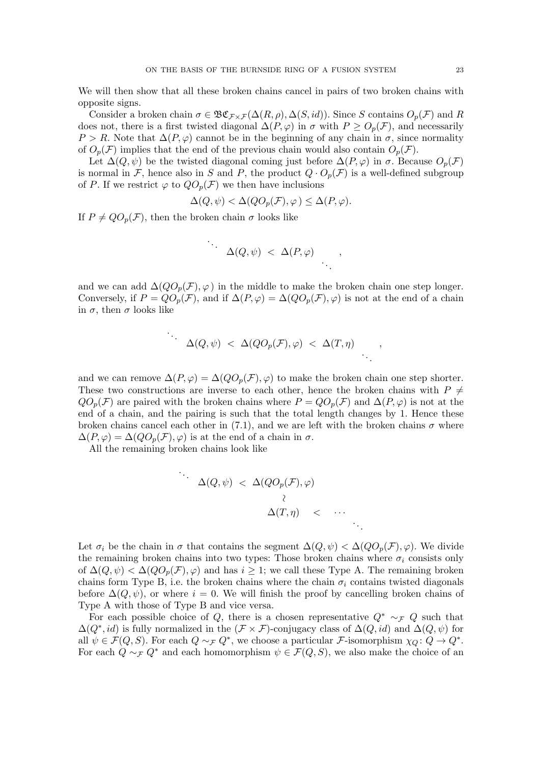We will then show that all these broken chains cancel in pairs of two broken chains with opposite signs.

Consider a broken chain  $\sigma \in \mathfrak{BC}_{\mathcal{F}\times\mathcal{F}}(\Delta(R,\rho),\Delta(S,id))$ . Since *S* contains  $O_p(\mathcal{F})$  and *R* does not, there is a first twisted diagonal  $\Delta(P, \varphi)$  in  $\sigma$  with  $P \geq O_p(\mathcal{F})$ , and necessarily  $P > R$ . Note that  $\Delta(P, \varphi)$  cannot be in the beginning of any chain in  $\sigma$ , since normality of  $O_p(\mathcal{F})$  implies that the end of the previous chain would also contain  $O_p(\mathcal{F})$ .

Let  $\Delta(Q, \psi)$  be the twisted diagonal coming just before  $\Delta(P, \varphi)$  in  $\sigma$ . Because  $O_p(\mathcal{F})$ is normal in *F*, hence also in *S* and *P*, the product  $Q \cdot O_p(\mathcal{F})$  is a well-defined subgroup of P. If we restrict  $\varphi$  to  $QO_p(\mathcal{F})$  we then have inclusions

$$
\Delta(Q, \psi) < \Delta(QO_p(\mathcal{F}), \varphi) \leq \Delta(P, \varphi).
$$

If  $P \neq QO_p(\mathcal{F})$ , then the broken chain  $\sigma$  looks like

$$
\therefore \Delta(Q, \psi) < \Delta(P, \varphi) ,
$$

and we can add  $\Delta(QO_p(\mathcal{F}), \varphi)$  in the middle to make the broken chain one step longer. Conversely, if  $P = QO_p(\mathcal{F})$ , and if  $\Delta(P, \varphi) = \Delta(QO_p(\mathcal{F}), \varphi)$  is not at the end of a chain in  $\sigma$ , then  $\sigma$  looks like

$$
\Delta(Q,\psi) \ < \ \Delta(QO_p(\mathcal{F}),\varphi) \ < \ \Delta(T,\eta) \qquad ,
$$

and we can remove  $\Delta(P, \varphi) = \Delta(QO_p(\mathcal{F}), \varphi)$  to make the broken chain one step shorter. These two constructions are inverse to each other, hence the broken chains with  $P \neq$  $QO_p(\mathcal{F})$  are paired with the broken chains where  $P = QO_p(\mathcal{F})$  and  $\Delta(P, \varphi)$  is not at the end of a chain, and the pairing is such that the total length changes by 1. Hence these broken chains cancel each other in [\(7.1\)](#page-21-1), and we are left with the broken chains  $\sigma$  where  $\Delta(P,\varphi) = \Delta(QO_p(\mathcal{F}),\varphi)$  is at the end of a chain in  $\sigma$ .

All the remaining broken chains look like

$$
\Delta(Q, \psi) < \Delta(QO_p(\mathcal{F}), \varphi)
$$
  

$$
\Delta(T, \eta) < \cdots
$$

Let  $\sigma_i$  be the chain in  $\sigma$  that contains the segment  $\Delta(Q, \psi) < \Delta(QO_p(\mathcal{F}), \varphi)$ . We divide the remaining broken chains into two types: Those broken chains where  $\sigma_i$  consists only of  $\Delta(Q, \psi) < \Delta(QO_p(\mathcal{F}), \varphi)$  and has  $i \geq 1$ ; we call these Type A. The remaining broken chains form Type B, i.e. the broken chains where the chain  $\sigma_i$  contains twisted diagonals before  $\Delta(Q, \psi)$ , or where  $i = 0$ . We will finish the proof by cancelling broken chains of Type A with those of Type B and vice versa.

For each possible choice of *Q*, there is a chosen representative  $Q^* \sim_{\mathcal{F}} Q$  such that  $\Delta(Q^*, id)$  is fully normalized in the  $(\mathcal{F} \times \mathcal{F})$ -conjugacy class of  $\Delta(Q, id)$  and  $\Delta(Q, \psi)$  for all  $\psi \in \mathcal{F}(Q, S)$ . For each  $Q \sim_{\mathcal{F}} Q^*$ , we choose a particular *F*-isomorphism  $\chi_Q \colon Q \to Q^*$ . For each  $Q \sim_{\mathcal{F}} Q^*$  and each homomorphism  $\psi \in \mathcal{F}(Q, S)$ , we also make the choice of an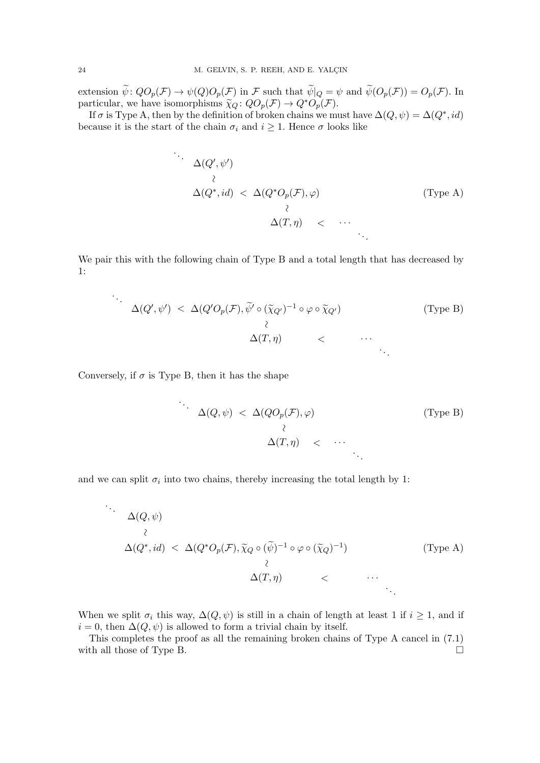extension  $\tilde{\psi}: QO_p(\mathcal{F}) \to \psi(Q)O_p(\mathcal{F})$  in  $\mathcal{F}$  such that  $\tilde{\psi}|_Q = \psi$  and  $\tilde{\psi}(O_p(\mathcal{F})) = O_p(\mathcal{F})$ . In particular, we have isomorphisms  $\widetilde{\chi}_Q$ :  $QO_p(\mathcal{F}) \to Q^*O_p(\mathcal{F})$ .

If  $\sigma$  is Type A, then by the definition of broken chains we must have  $\Delta(Q, \psi) = \Delta(Q^*, id)$ because it is the start of the chain  $\sigma_i$  and  $i \geq 1$ . Hence  $\sigma$  looks like

$$
\Delta(Q', \psi')
$$
\n
$$
\Delta(Q^*, id) < \Delta(Q^* O_p(\mathcal{F}), \varphi)
$$
\n
$$
\Delta(T, \eta) < \cdots
$$
\n
$$
\therefore
$$
\n
$$
\therefore
$$
\n
$$
\therefore
$$
\n
$$
\therefore
$$
\n
$$
\therefore
$$

We pair this with the following chain of Type B and a total length that has decreased by 1:

$$
\Delta(Q',\psi') < \Delta(Q'O_p(\mathcal{F}),\widetilde{\psi}' \circ (\widetilde{\chi}_{Q'})^{-1} \circ \varphi \circ \widetilde{\chi}_{Q'})
$$
 (Type B)  

$$
\Delta(T,\eta) < \cdots
$$

Conversely, if  $\sigma$  is Type B, then it has the shape

$$
\Delta(Q, \psi) < \Delta(QO_p(\mathcal{F}), \varphi)
$$
 (Type B)  

$$
\Delta(T, \eta) < \cdots
$$

and we can split  $\sigma_i$  into two chains, thereby increasing the total length by 1:

$$
\Delta(Q, \psi)
$$
\n
$$
\Delta(Q^*, id) < \Delta(Q^* O_p(\mathcal{F}), \tilde{\chi}_Q \circ (\tilde{\psi})^{-1} \circ \varphi \circ (\tilde{\chi}_Q)^{-1}) \qquad (\text{Type A})
$$
\n
$$
\Delta(T, \eta) < \cdots
$$

When we split  $\sigma_i$  this way,  $\Delta(Q, \psi)$  is still in a chain of length at least 1 if  $i \geq 1$ , and if  $i = 0$ , then  $\Delta(Q, \psi)$  is allowed to form a trivial chain by itself.

This completes the proof as all the remaining broken chains of Type A cancel in [\(7.1\)](#page-21-1) with all those of Type B.  $\Box$